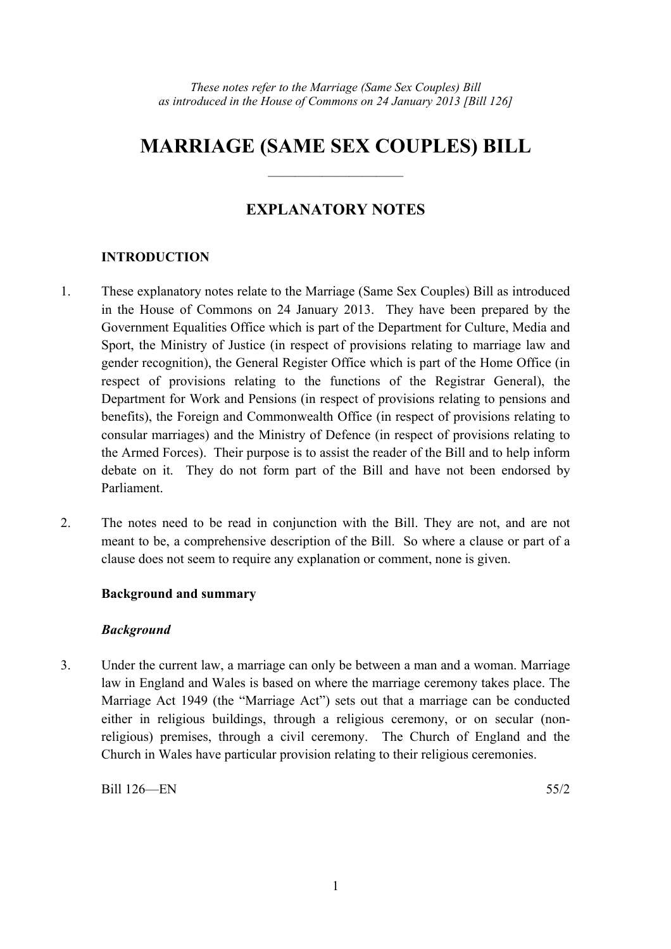# **MARRIAGE (SAME SEX COUPLES) BILL**

——————————

# **EXPLANATORY NOTES**

## **INTRODUCTION**

- 1. These explanatory notes relate to the Marriage (Same Sex Couples) Bill as introduced in the House of Commons on 24 January 2013. They have been prepared by the Government Equalities Office which is part of the Department for Culture, Media and Sport, the Ministry of Justice (in respect of provisions relating to marriage law and gender recognition), the General Register Office which is part of the Home Office (in respect of provisions relating to the functions of the Registrar General), the Department for Work and Pensions (in respect of provisions relating to pensions and benefits), the Foreign and Commonwealth Office (in respect of provisions relating to consular marriages) and the Ministry of Defence (in respect of provisions relating to the Armed Forces). Their purpose is to assist the reader of the Bill and to help inform debate on it. They do not form part of the Bill and have not been endorsed by Parliament.
- 2. The notes need to be read in conjunction with the Bill. They are not, and are not meant to be, a comprehensive description of the Bill. So where a clause or part of a clause does not seem to require any explanation or comment, none is given.

## **Background and summary**

## *Background*

3. Under the current law, a marriage can only be between a man and a woman. Marriage law in England and Wales is based on where the marriage ceremony takes place. The Marriage Act 1949 (the "Marriage Act") sets out that a marriage can be conducted either in religious buildings, through a religious ceremony, or on secular (nonreligious) premises, through a civil ceremony. The Church of England and the Church in Wales have particular provision relating to their religious ceremonies.

Bill 126—EN 55/2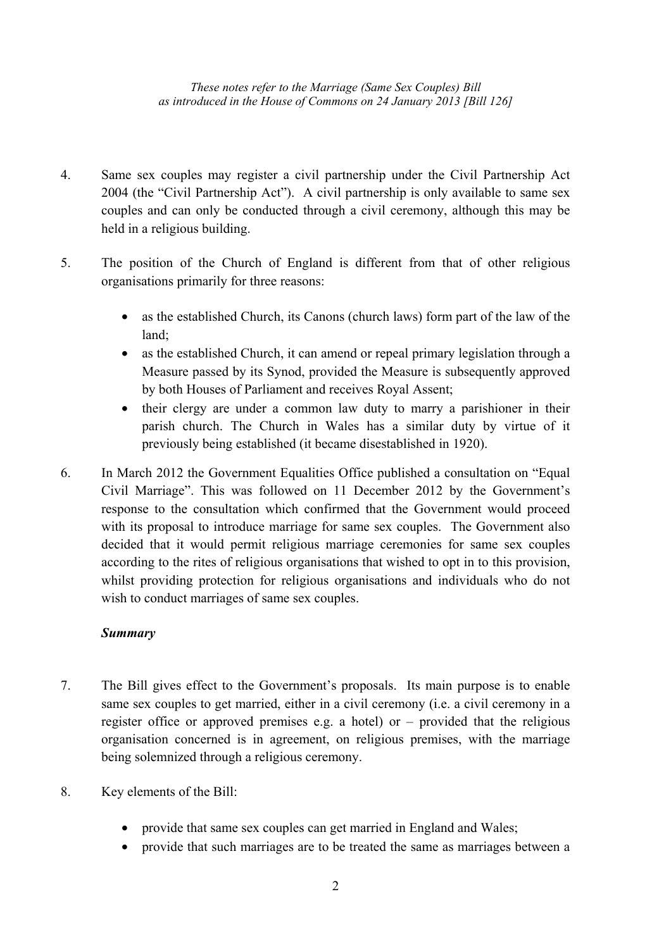- 4. Same sex couples may register a civil partnership under the Civil Partnership Act 2004 (the "Civil Partnership Act"). A civil partnership is only available to same sex couples and can only be conducted through a civil ceremony, although this may be held in a religious building.
- 5. The position of the Church of England is different from that of other religious organisations primarily for three reasons:
	- as the established Church, its Canons (church laws) form part of the law of the land;
	- as the established Church, it can amend or repeal primary legislation through a Measure passed by its Synod, provided the Measure is subsequently approved by both Houses of Parliament and receives Royal Assent;
	- their clergy are under a common law duty to marry a parishioner in their parish church. The Church in Wales has a similar duty by virtue of it previously being established (it became disestablished in 1920).
- 6. In March 2012 the Government Equalities Office published a consultation on "Equal Civil Marriage". This was followed on 11 December 2012 by the Government's response to the consultation which confirmed that the Government would proceed with its proposal to introduce marriage for same sex couples. The Government also decided that it would permit religious marriage ceremonies for same sex couples according to the rites of religious organisations that wished to opt in to this provision, whilst providing protection for religious organisations and individuals who do not wish to conduct marriages of same sex couples.

## *Summary*

- 7. The Bill gives effect to the Government's proposals. Its main purpose is to enable same sex couples to get married, either in a civil ceremony (i.e. a civil ceremony in a register office or approved premises e.g. a hotel) or – provided that the religious organisation concerned is in agreement, on religious premises, with the marriage being solemnized through a religious ceremony.
- 8. Key elements of the Bill:
	- provide that same sex couples can get married in England and Wales;
	- provide that such marriages are to be treated the same as marriages between a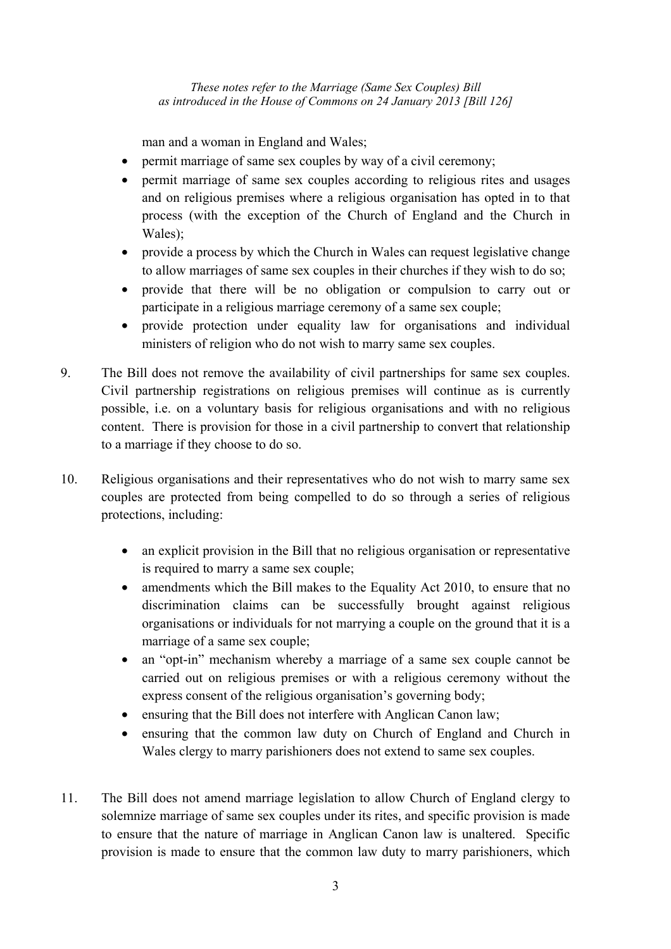man and a woman in England and Wales;

- permit marriage of same sex couples by way of a civil ceremony;
- permit marriage of same sex couples according to religious rites and usages and on religious premises where a religious organisation has opted in to that process (with the exception of the Church of England and the Church in Wales);
- provide a process by which the Church in Wales can request legislative change to allow marriages of same sex couples in their churches if they wish to do so;
- provide that there will be no obligation or compulsion to carry out or participate in a religious marriage ceremony of a same sex couple;
- provide protection under equality law for organisations and individual ministers of religion who do not wish to marry same sex couples.
- 9. The Bill does not remove the availability of civil partnerships for same sex couples. Civil partnership registrations on religious premises will continue as is currently possible, i.e. on a voluntary basis for religious organisations and with no religious content. There is provision for those in a civil partnership to convert that relationship to a marriage if they choose to do so.
- 10. Religious organisations and their representatives who do not wish to marry same sex couples are protected from being compelled to do so through a series of religious protections, including:
	- an explicit provision in the Bill that no religious organisation or representative is required to marry a same sex couple;
	- amendments which the Bill makes to the Equality Act 2010, to ensure that no discrimination claims can be successfully brought against religious organisations or individuals for not marrying a couple on the ground that it is a marriage of a same sex couple;
	- an "opt-in" mechanism whereby a marriage of a same sex couple cannot be carried out on religious premises or with a religious ceremony without the express consent of the religious organisation's governing body;
	- ensuring that the Bill does not interfere with Anglican Canon law;
	- ensuring that the common law duty on Church of England and Church in Wales clergy to marry parishioners does not extend to same sex couples.
- 11. The Bill does not amend marriage legislation to allow Church of England clergy to solemnize marriage of same sex couples under its rites, and specific provision is made to ensure that the nature of marriage in Anglican Canon law is unaltered. Specific provision is made to ensure that the common law duty to marry parishioners, which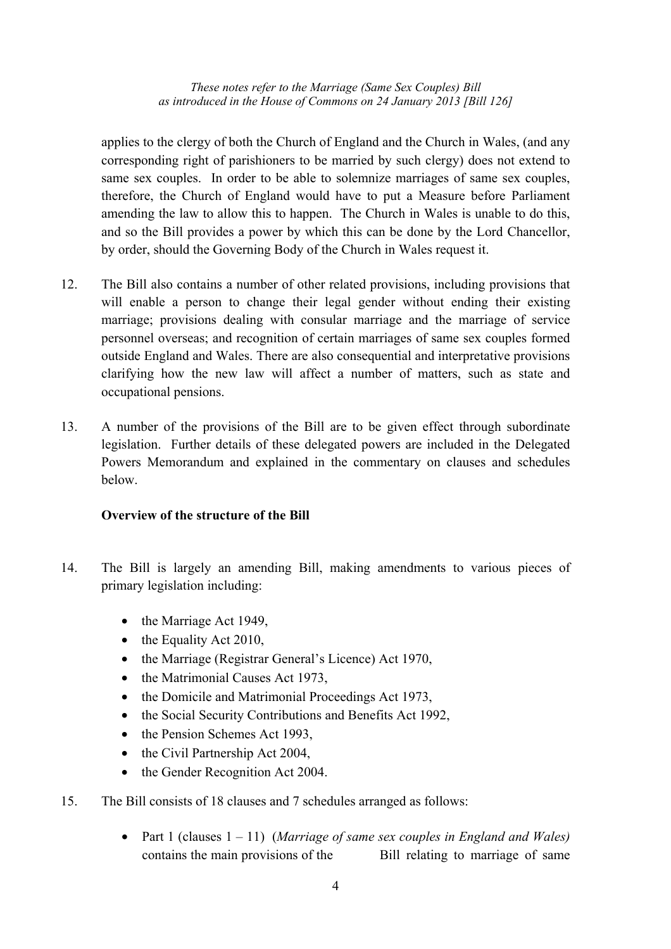applies to the clergy of both the Church of England and the Church in Wales, (and any corresponding right of parishioners to be married by such clergy) does not extend to same sex couples. In order to be able to solemnize marriages of same sex couples, therefore, the Church of England would have to put a Measure before Parliament amending the law to allow this to happen. The Church in Wales is unable to do this, and so the Bill provides a power by which this can be done by the Lord Chancellor, by order, should the Governing Body of the Church in Wales request it.

- 12. The Bill also contains a number of other related provisions, including provisions that will enable a person to change their legal gender without ending their existing marriage; provisions dealing with consular marriage and the marriage of service personnel overseas; and recognition of certain marriages of same sex couples formed outside England and Wales. There are also consequential and interpretative provisions clarifying how the new law will affect a number of matters, such as state and occupational pensions.
- 13. A number of the provisions of the Bill are to be given effect through subordinate legislation. Further details of these delegated powers are included in the Delegated Powers Memorandum and explained in the commentary on clauses and schedules below.

## **Overview of the structure of the Bill**

- 14. The Bill is largely an amending Bill, making amendments to various pieces of primary legislation including:
	- the Marriage Act 1949,
	- the Equality Act 2010,
	- the Marriage (Registrar General's Licence) Act 1970,
	- the Matrimonial Causes Act 1973.
	- the Domicile and Matrimonial Proceedings Act 1973,
	- the Social Security Contributions and Benefits Act 1992,
	- the Pension Schemes Act 1993,
	- the Civil Partnership Act 2004,
	- the Gender Recognition Act 2004.
- 15. The Bill consists of 18 clauses and 7 schedules arranged as follows:
	- Part 1 (clauses 1 11) (*Marriage of same sex couples in England and Wales)* contains the main provisions of the Bill relating to marriage of same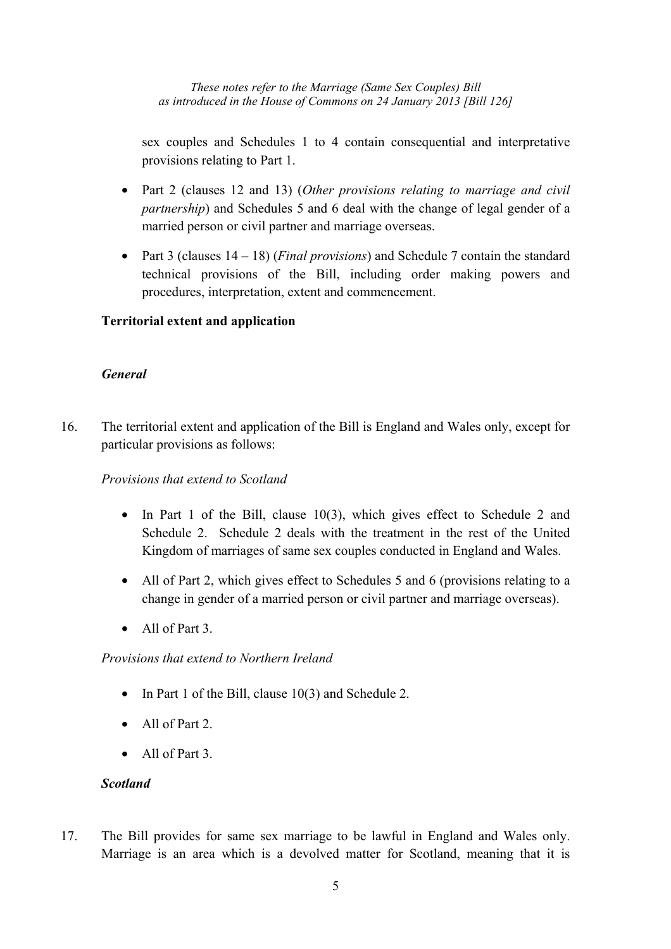sex couples and Schedules 1 to 4 contain consequential and interpretative provisions relating to Part 1.

- Part 2 (clauses 12 and 13) (*Other provisions relating to marriage and civil partnership*) and Schedules 5 and 6 deal with the change of legal gender of a married person or civil partner and marriage overseas.
- Part 3 (clauses 14 18) (*Final provisions*) and Schedule 7 contain the standard technical provisions of the Bill, including order making powers and procedures, interpretation, extent and commencement.

## **Territorial extent and application**

## *General*

16. The territorial extent and application of the Bill is England and Wales only, except for particular provisions as follows:

## *Provisions that extend to Scotland*

- In Part 1 of the Bill, clause 10(3), which gives effect to Schedule 2 and Schedule 2. Schedule 2 deals with the treatment in the rest of the United Kingdom of marriages of same sex couples conducted in England and Wales.
- All of Part 2, which gives effect to Schedules 5 and 6 (provisions relating to a change in gender of a married person or civil partner and marriage overseas).
- All of Part 3

*Provisions that extend to Northern Ireland* 

- In Part 1 of the Bill, clause 10(3) and Schedule 2.
- All of Part 2.
- All of Part 3

## *Scotland*

17. The Bill provides for same sex marriage to be lawful in England and Wales only. Marriage is an area which is a devolved matter for Scotland, meaning that it is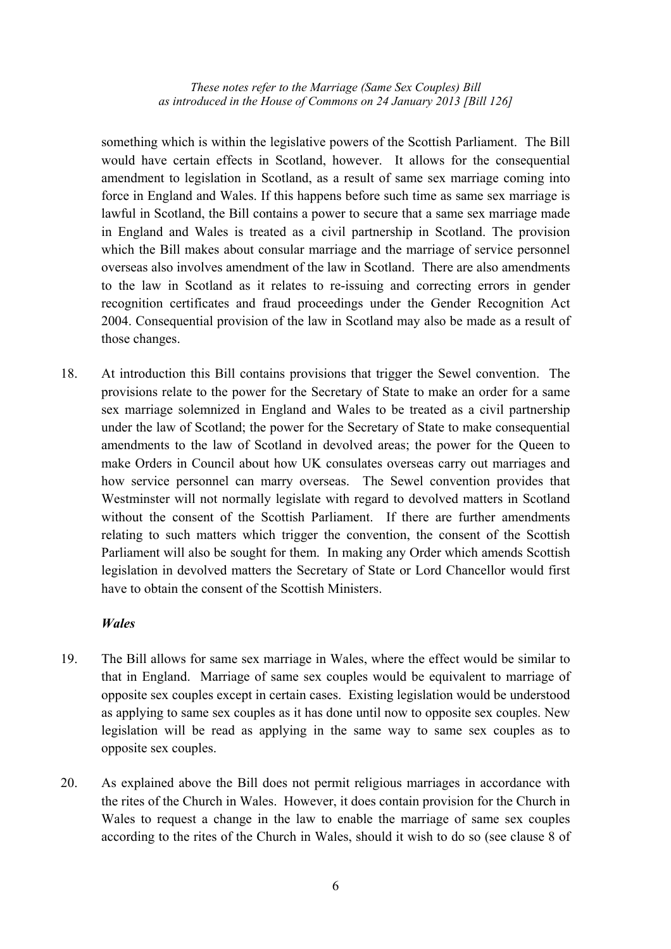something which is within the legislative powers of the Scottish Parliament. The Bill would have certain effects in Scotland, however. It allows for the consequential amendment to legislation in Scotland, as a result of same sex marriage coming into force in England and Wales. If this happens before such time as same sex marriage is lawful in Scotland, the Bill contains a power to secure that a same sex marriage made in England and Wales is treated as a civil partnership in Scotland. The provision which the Bill makes about consular marriage and the marriage of service personnel overseas also involves amendment of the law in Scotland. There are also amendments to the law in Scotland as it relates to re-issuing and correcting errors in gender recognition certificates and fraud proceedings under the Gender Recognition Act 2004. Consequential provision of the law in Scotland may also be made as a result of those changes.

18. At introduction this Bill contains provisions that trigger the Sewel convention. The provisions relate to the power for the Secretary of State to make an order for a same sex marriage solemnized in England and Wales to be treated as a civil partnership under the law of Scotland; the power for the Secretary of State to make consequential amendments to the law of Scotland in devolved areas; the power for the Queen to make Orders in Council about how UK consulates overseas carry out marriages and how service personnel can marry overseas. The Sewel convention provides that Westminster will not normally legislate with regard to devolved matters in Scotland without the consent of the Scottish Parliament. If there are further amendments relating to such matters which trigger the convention, the consent of the Scottish Parliament will also be sought for them. In making any Order which amends Scottish legislation in devolved matters the Secretary of State or Lord Chancellor would first have to obtain the consent of the Scottish Ministers.

#### *Wales*

- 19. The Bill allows for same sex marriage in Wales, where the effect would be similar to that in England. Marriage of same sex couples would be equivalent to marriage of opposite sex couples except in certain cases. Existing legislation would be understood as applying to same sex couples as it has done until now to opposite sex couples. New legislation will be read as applying in the same way to same sex couples as to opposite sex couples.
- 20. As explained above the Bill does not permit religious marriages in accordance with the rites of the Church in Wales. However, it does contain provision for the Church in Wales to request a change in the law to enable the marriage of same sex couples according to the rites of the Church in Wales, should it wish to do so (see clause 8 of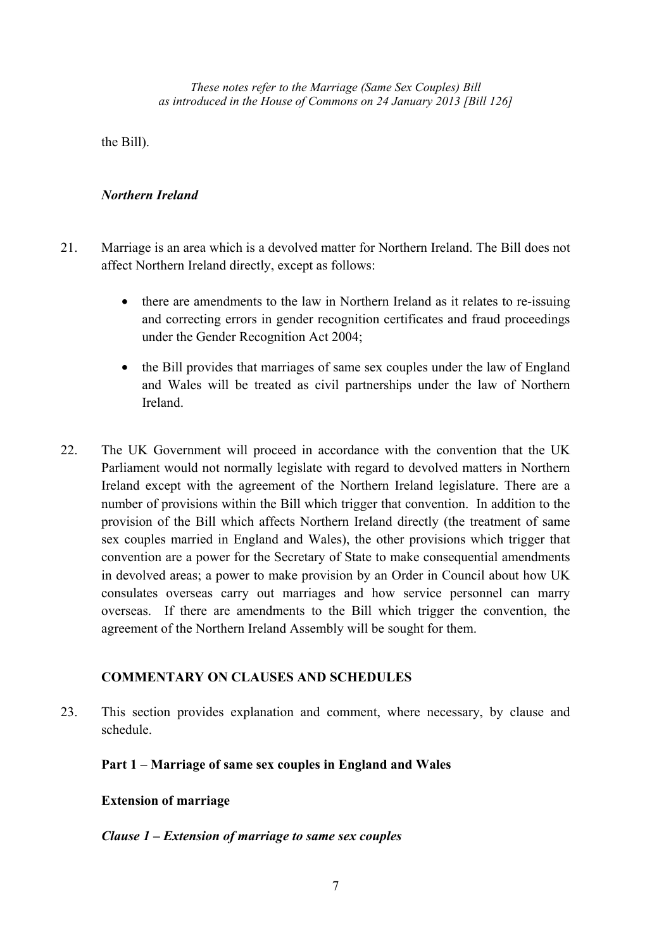the Bill).

## *Northern Ireland*

- 21. Marriage is an area which is a devolved matter for Northern Ireland. The Bill does not affect Northern Ireland directly, except as follows:
	- there are amendments to the law in Northern Ireland as it relates to re-issuing and correcting errors in gender recognition certificates and fraud proceedings under the Gender Recognition Act 2004;
	- the Bill provides that marriages of same sex couples under the law of England and Wales will be treated as civil partnerships under the law of Northern Ireland.
- 22. The UK Government will proceed in accordance with the convention that the UK Parliament would not normally legislate with regard to devolved matters in Northern Ireland except with the agreement of the Northern Ireland legislature. There are a number of provisions within the Bill which trigger that convention. In addition to the provision of the Bill which affects Northern Ireland directly (the treatment of same sex couples married in England and Wales), the other provisions which trigger that convention are a power for the Secretary of State to make consequential amendments in devolved areas; a power to make provision by an Order in Council about how UK consulates overseas carry out marriages and how service personnel can marry overseas. If there are amendments to the Bill which trigger the convention, the agreement of the Northern Ireland Assembly will be sought for them.

## **COMMENTARY ON CLAUSES AND SCHEDULES**

23. This section provides explanation and comment, where necessary, by clause and schedule.

**Part 1 – Marriage of same sex couples in England and Wales** 

## **Extension of marriage**

## *Clause 1 – Extension of marriage to same sex couples*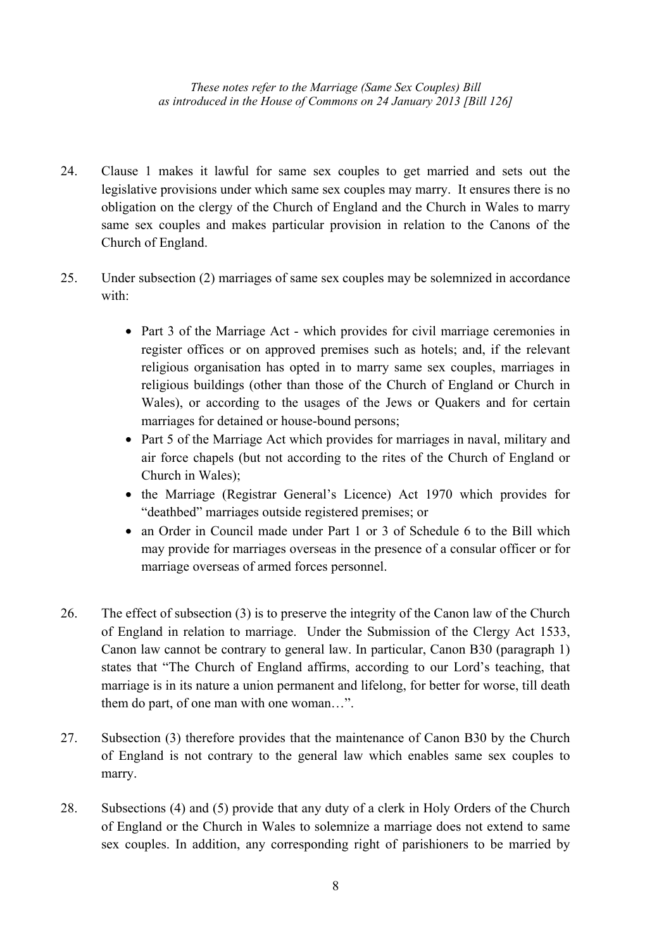- 24. Clause 1 makes it lawful for same sex couples to get married and sets out the legislative provisions under which same sex couples may marry. It ensures there is no obligation on the clergy of the Church of England and the Church in Wales to marry same sex couples and makes particular provision in relation to the Canons of the Church of England.
- 25. Under subsection (2) marriages of same sex couples may be solemnized in accordance with:
	- Part 3 of the Marriage Act which provides for civil marriage ceremonies in register offices or on approved premises such as hotels; and, if the relevant religious organisation has opted in to marry same sex couples, marriages in religious buildings (other than those of the Church of England or Church in Wales), or according to the usages of the Jews or Quakers and for certain marriages for detained or house-bound persons;
	- Part 5 of the Marriage Act which provides for marriages in naval, military and air force chapels (but not according to the rites of the Church of England or Church in Wales);
	- the Marriage (Registrar General's Licence) Act 1970 which provides for "deathbed" marriages outside registered premises; or
	- an Order in Council made under Part 1 or 3 of Schedule 6 to the Bill which may provide for marriages overseas in the presence of a consular officer or for marriage overseas of armed forces personnel.
- 26. The effect of subsection (3) is to preserve the integrity of the Canon law of the Church of England in relation to marriage. Under the Submission of the Clergy Act 1533, Canon law cannot be contrary to general law. In particular, Canon B30 (paragraph 1) states that "The Church of England affirms, according to our Lord's teaching, that marriage is in its nature a union permanent and lifelong, for better for worse, till death them do part, of one man with one woman…".
- 27. Subsection (3) therefore provides that the maintenance of Canon B30 by the Church of England is not contrary to the general law which enables same sex couples to marry.
- 28. Subsections (4) and (5) provide that any duty of a clerk in Holy Orders of the Church of England or the Church in Wales to solemnize a marriage does not extend to same sex couples. In addition, any corresponding right of parishioners to be married by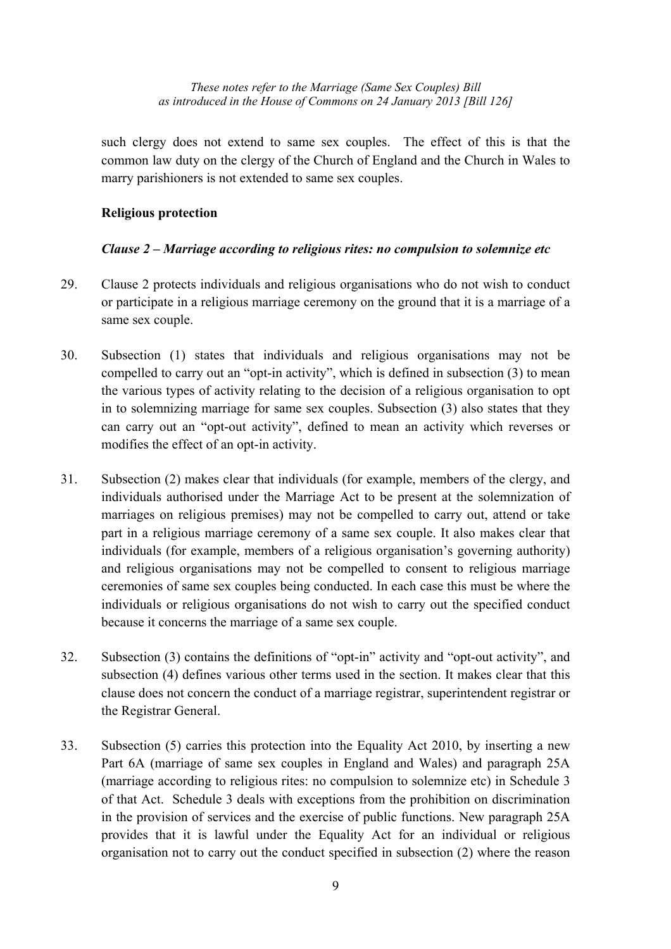such clergy does not extend to same sex couples. The effect of this is that the common law duty on the clergy of the Church of England and the Church in Wales to marry parishioners is not extended to same sex couples.

## **Religious protection**

## *Clause 2 – Marriage according to religious rites: no compulsion to solemnize etc*

- 29. Clause 2 protects individuals and religious organisations who do not wish to conduct or participate in a religious marriage ceremony on the ground that it is a marriage of a same sex couple.
- 30. Subsection (1) states that individuals and religious organisations may not be compelled to carry out an "opt-in activity", which is defined in subsection (3) to mean the various types of activity relating to the decision of a religious organisation to opt in to solemnizing marriage for same sex couples. Subsection (3) also states that they can carry out an "opt-out activity", defined to mean an activity which reverses or modifies the effect of an opt-in activity.
- 31. Subsection (2) makes clear that individuals (for example, members of the clergy, and individuals authorised under the Marriage Act to be present at the solemnization of marriages on religious premises) may not be compelled to carry out, attend or take part in a religious marriage ceremony of a same sex couple. It also makes clear that individuals (for example, members of a religious organisation's governing authority) and religious organisations may not be compelled to consent to religious marriage ceremonies of same sex couples being conducted. In each case this must be where the individuals or religious organisations do not wish to carry out the specified conduct because it concerns the marriage of a same sex couple.
- 32. Subsection (3) contains the definitions of "opt-in" activity and "opt-out activity", and subsection (4) defines various other terms used in the section. It makes clear that this clause does not concern the conduct of a marriage registrar, superintendent registrar or the Registrar General.
- 33. Subsection (5) carries this protection into the Equality Act 2010, by inserting a new Part 6A (marriage of same sex couples in England and Wales) and paragraph 25A (marriage according to religious rites: no compulsion to solemnize etc) in Schedule 3 of that Act. Schedule 3 deals with exceptions from the prohibition on discrimination in the provision of services and the exercise of public functions. New paragraph 25A provides that it is lawful under the Equality Act for an individual or religious organisation not to carry out the conduct specified in subsection (2) where the reason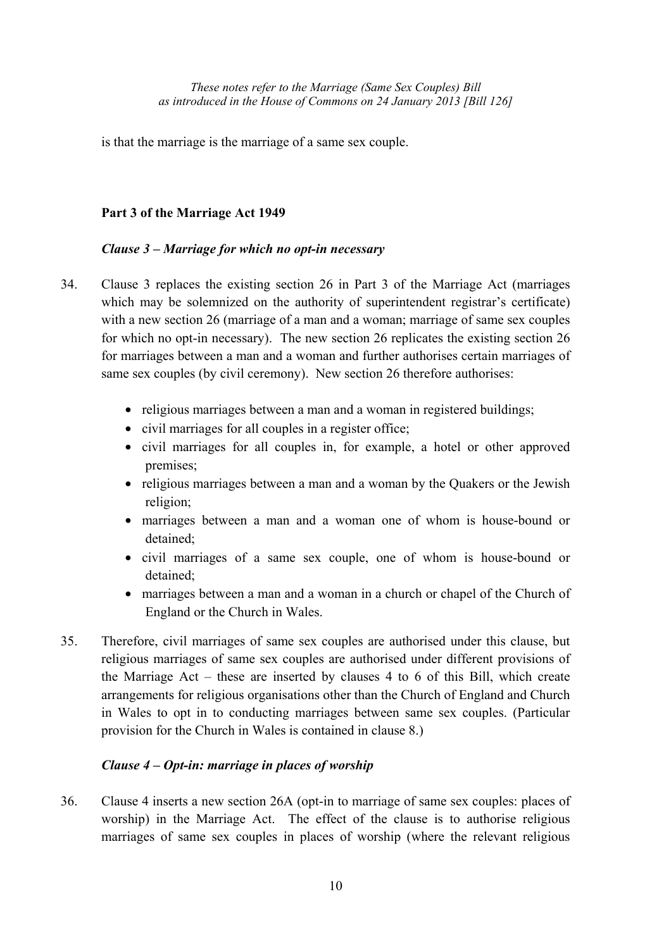is that the marriage is the marriage of a same sex couple.

# **Part 3 of the Marriage Act 1949**

# *Clause 3 – Marriage for which no opt-in necessary*

- 34. Clause 3 replaces the existing section 26 in Part 3 of the Marriage Act (marriages which may be solemnized on the authority of superintendent registrar's certificate) with a new section 26 (marriage of a man and a woman; marriage of same sex couples for which no opt-in necessary). The new section 26 replicates the existing section 26 for marriages between a man and a woman and further authorises certain marriages of same sex couples (by civil ceremony). New section 26 therefore authorises:
	- religious marriages between a man and a woman in registered buildings;
	- civil marriages for all couples in a register office;
	- civil marriages for all couples in, for example, a hotel or other approved premises;
	- religious marriages between a man and a woman by the Quakers or the Jewish religion;
	- marriages between a man and a woman one of whom is house-bound or detained;
	- civil marriages of a same sex couple, one of whom is house-bound or detained;
	- marriages between a man and a woman in a church or chapel of the Church of England or the Church in Wales.
- 35. Therefore, civil marriages of same sex couples are authorised under this clause, but religious marriages of same sex couples are authorised under different provisions of the Marriage Act – these are inserted by clauses 4 to 6 of this Bill, which create arrangements for religious organisations other than the Church of England and Church in Wales to opt in to conducting marriages between same sex couples. (Particular provision for the Church in Wales is contained in clause 8.)

# *Clause 4 – Opt-in: marriage in places of worship*

36. Clause 4 inserts a new section 26A (opt-in to marriage of same sex couples: places of worship) in the Marriage Act. The effect of the clause is to authorise religious marriages of same sex couples in places of worship (where the relevant religious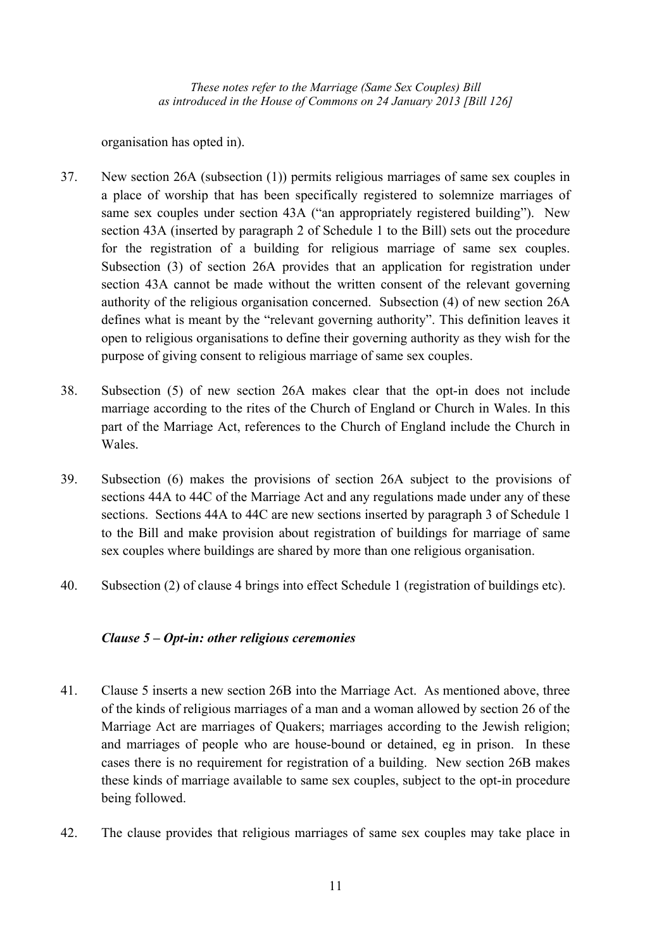organisation has opted in).

- 37. New section 26A (subsection (1)) permits religious marriages of same sex couples in a place of worship that has been specifically registered to solemnize marriages of same sex couples under section 43A ("an appropriately registered building"). New section 43A (inserted by paragraph 2 of Schedule 1 to the Bill) sets out the procedure for the registration of a building for religious marriage of same sex couples. Subsection (3) of section 26A provides that an application for registration under section 43A cannot be made without the written consent of the relevant governing authority of the religious organisation concerned. Subsection (4) of new section 26A defines what is meant by the "relevant governing authority". This definition leaves it open to religious organisations to define their governing authority as they wish for the purpose of giving consent to religious marriage of same sex couples.
- 38. Subsection (5) of new section 26A makes clear that the opt-in does not include marriage according to the rites of the Church of England or Church in Wales. In this part of the Marriage Act, references to the Church of England include the Church in Wales.
- 39. Subsection (6) makes the provisions of section 26A subject to the provisions of sections 44A to 44C of the Marriage Act and any regulations made under any of these sections. Sections 44A to 44C are new sections inserted by paragraph 3 of Schedule 1 to the Bill and make provision about registration of buildings for marriage of same sex couples where buildings are shared by more than one religious organisation.
- 40. Subsection (2) of clause 4 brings into effect Schedule 1 (registration of buildings etc).

## *Clause 5 – Opt-in: other religious ceremonies*

- 41. Clause 5 inserts a new section 26B into the Marriage Act. As mentioned above, three of the kinds of religious marriages of a man and a woman allowed by section 26 of the Marriage Act are marriages of Quakers; marriages according to the Jewish religion; and marriages of people who are house-bound or detained, eg in prison. In these cases there is no requirement for registration of a building. New section 26B makes these kinds of marriage available to same sex couples, subject to the opt-in procedure being followed.
- 42. The clause provides that religious marriages of same sex couples may take place in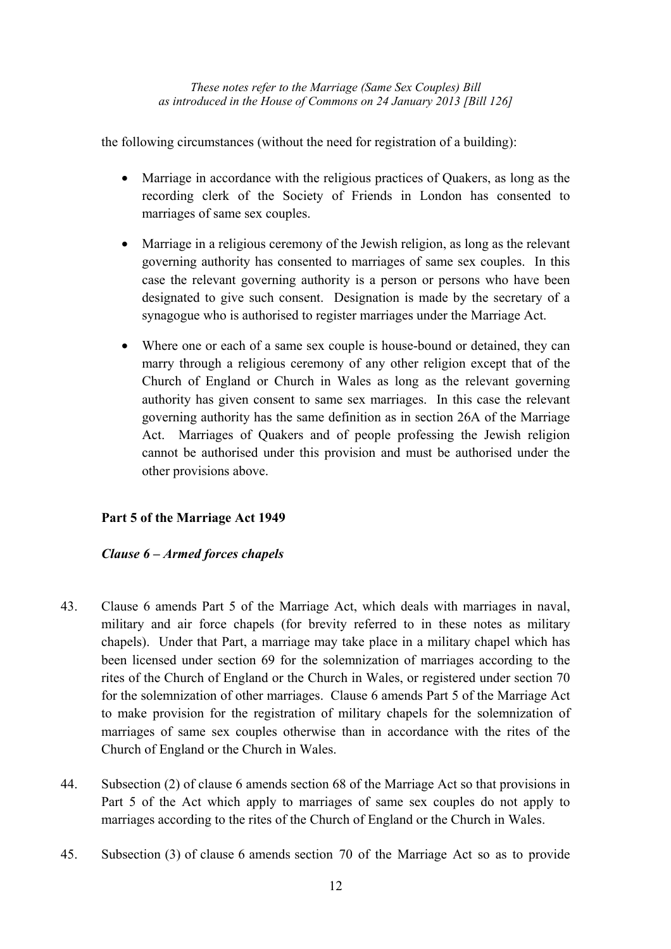the following circumstances (without the need for registration of a building):

- Marriage in accordance with the religious practices of Quakers, as long as the recording clerk of the Society of Friends in London has consented to marriages of same sex couples.
- Marriage in a religious ceremony of the Jewish religion, as long as the relevant governing authority has consented to marriages of same sex couples. In this case the relevant governing authority is a person or persons who have been designated to give such consent. Designation is made by the secretary of a synagogue who is authorised to register marriages under the Marriage Act.
- Where one or each of a same sex couple is house-bound or detained, they can marry through a religious ceremony of any other religion except that of the Church of England or Church in Wales as long as the relevant governing authority has given consent to same sex marriages. In this case the relevant governing authority has the same definition as in section 26A of the Marriage Act. Marriages of Quakers and of people professing the Jewish religion cannot be authorised under this provision and must be authorised under the other provisions above.

## **Part 5 of the Marriage Act 1949**

## *Clause 6 – Armed forces chapels*

- 43. Clause 6 amends Part 5 of the Marriage Act, which deals with marriages in naval, military and air force chapels (for brevity referred to in these notes as military chapels). Under that Part, a marriage may take place in a military chapel which has been licensed under section 69 for the solemnization of marriages according to the rites of the Church of England or the Church in Wales, or registered under section 70 for the solemnization of other marriages. Clause 6 amends Part 5 of the Marriage Act to make provision for the registration of military chapels for the solemnization of marriages of same sex couples otherwise than in accordance with the rites of the Church of England or the Church in Wales.
- 44. Subsection (2) of clause 6 amends section 68 of the Marriage Act so that provisions in Part 5 of the Act which apply to marriages of same sex couples do not apply to marriages according to the rites of the Church of England or the Church in Wales.
- 45. Subsection (3) of clause 6 amends section 70 of the Marriage Act so as to provide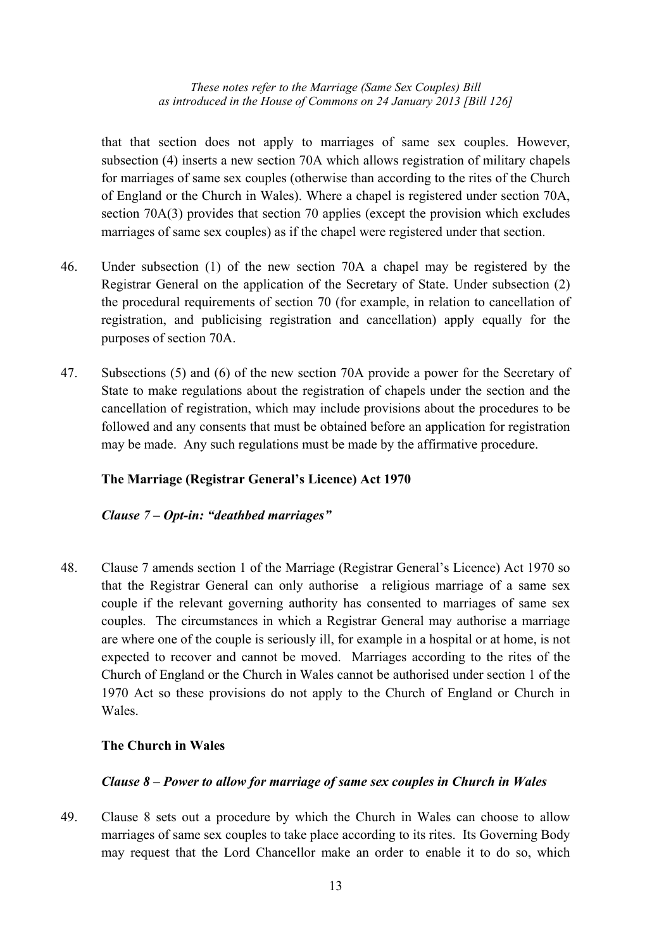that that section does not apply to marriages of same sex couples. However, subsection (4) inserts a new section 70A which allows registration of military chapels for marriages of same sex couples (otherwise than according to the rites of the Church of England or the Church in Wales). Where a chapel is registered under section 70A, section 70A(3) provides that section 70 applies (except the provision which excludes marriages of same sex couples) as if the chapel were registered under that section.

- 46. Under subsection (1) of the new section 70A a chapel may be registered by the Registrar General on the application of the Secretary of State. Under subsection (2) the procedural requirements of section 70 (for example, in relation to cancellation of registration, and publicising registration and cancellation) apply equally for the purposes of section 70A.
- 47. Subsections (5) and (6) of the new section 70A provide a power for the Secretary of State to make regulations about the registration of chapels under the section and the cancellation of registration, which may include provisions about the procedures to be followed and any consents that must be obtained before an application for registration may be made. Any such regulations must be made by the affirmative procedure.

## **The Marriage (Registrar General's Licence) Act 1970**

#### *Clause 7 – Opt-in: "deathbed marriages"*

48. Clause 7 amends section 1 of the Marriage (Registrar General's Licence) Act 1970 so that the Registrar General can only authorise a religious marriage of a same sex couple if the relevant governing authority has consented to marriages of same sex couples. The circumstances in which a Registrar General may authorise a marriage are where one of the couple is seriously ill, for example in a hospital or at home, is not expected to recover and cannot be moved. Marriages according to the rites of the Church of England or the Church in Wales cannot be authorised under section 1 of the 1970 Act so these provisions do not apply to the Church of England or Church in Wales.

#### **The Church in Wales**

#### *Clause 8 – Power to allow for marriage of same sex couples in Church in Wales*

49. Clause 8 sets out a procedure by which the Church in Wales can choose to allow marriages of same sex couples to take place according to its rites. Its Governing Body may request that the Lord Chancellor make an order to enable it to do so, which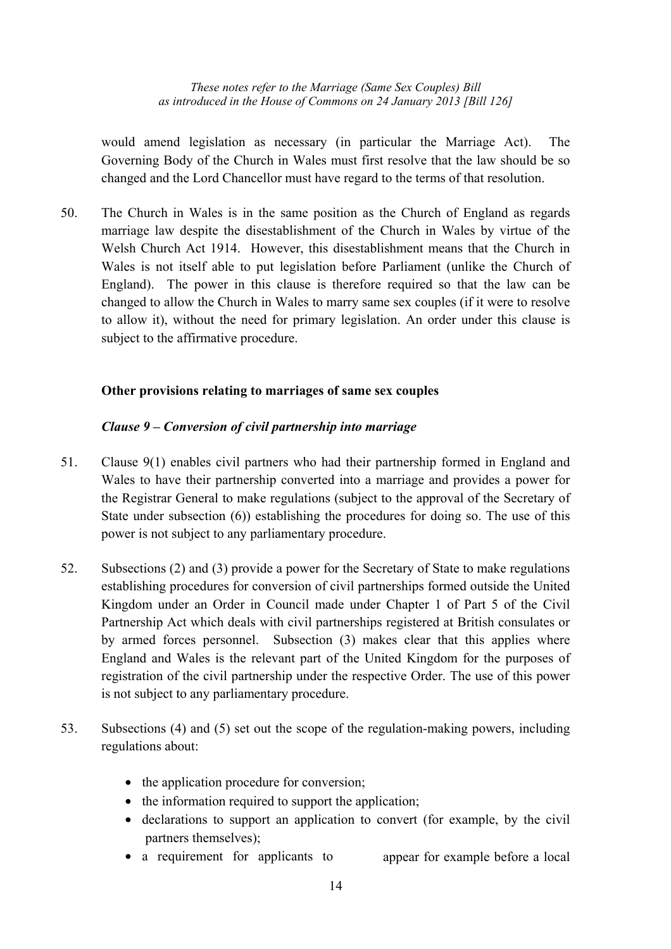would amend legislation as necessary (in particular the Marriage Act). The Governing Body of the Church in Wales must first resolve that the law should be so changed and the Lord Chancellor must have regard to the terms of that resolution.

50. The Church in Wales is in the same position as the Church of England as regards marriage law despite the disestablishment of the Church in Wales by virtue of the Welsh Church Act 1914. However, this disestablishment means that the Church in Wales is not itself able to put legislation before Parliament (unlike the Church of England). The power in this clause is therefore required so that the law can be changed to allow the Church in Wales to marry same sex couples (if it were to resolve to allow it), without the need for primary legislation. An order under this clause is subject to the affirmative procedure.

## **Other provisions relating to marriages of same sex couples**

## *Clause 9 – Conversion of civil partnership into marriage*

- 51. Clause 9(1) enables civil partners who had their partnership formed in England and Wales to have their partnership converted into a marriage and provides a power for the Registrar General to make regulations (subject to the approval of the Secretary of State under subsection (6)) establishing the procedures for doing so. The use of this power is not subject to any parliamentary procedure.
- 52. Subsections (2) and (3) provide a power for the Secretary of State to make regulations establishing procedures for conversion of civil partnerships formed outside the United Kingdom under an Order in Council made under Chapter 1 of Part 5 of the Civil Partnership Act which deals with civil partnerships registered at British consulates or by armed forces personnel. Subsection (3) makes clear that this applies where England and Wales is the relevant part of the United Kingdom for the purposes of registration of the civil partnership under the respective Order. The use of this power is not subject to any parliamentary procedure.
- 53. Subsections (4) and (5) set out the scope of the regulation-making powers, including regulations about:
	- the application procedure for conversion;
	- the information required to support the application;
	- declarations to support an application to convert (for example, by the civil partners themselves);
	- a requirement for applicants to appear for example before a local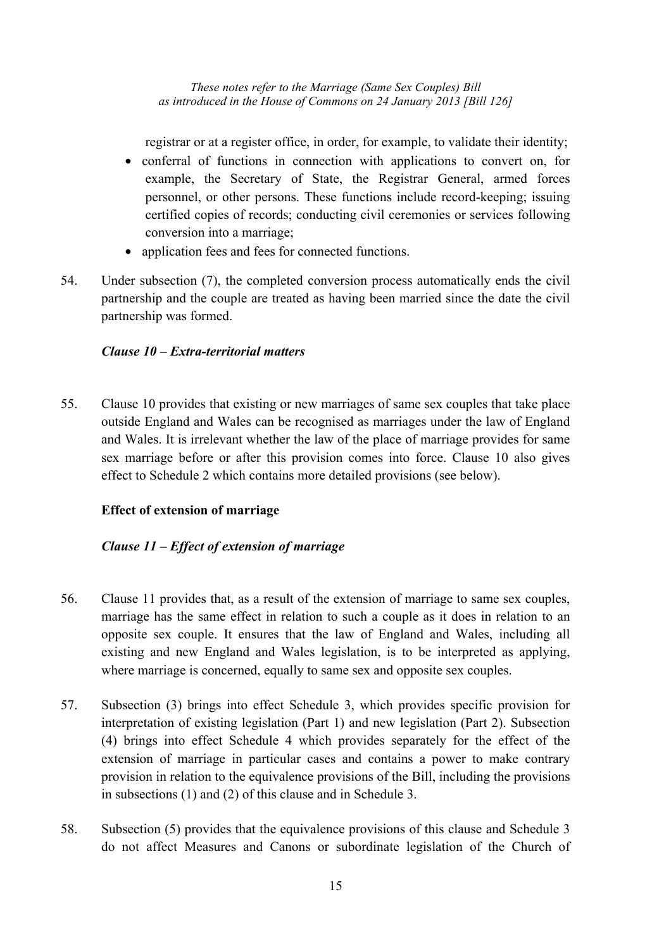registrar or at a register office, in order, for example, to validate their identity;

- conferral of functions in connection with applications to convert on, for example, the Secretary of State, the Registrar General, armed forces personnel, or other persons. These functions include record-keeping; issuing certified copies of records; conducting civil ceremonies or services following conversion into a marriage;
- application fees and fees for connected functions.
- 54. Under subsection (7), the completed conversion process automatically ends the civil partnership and the couple are treated as having been married since the date the civil partnership was formed.

## *Clause 10 – Extra-territorial matters*

55. Clause 10 provides that existing or new marriages of same sex couples that take place outside England and Wales can be recognised as marriages under the law of England and Wales. It is irrelevant whether the law of the place of marriage provides for same sex marriage before or after this provision comes into force. Clause 10 also gives effect to Schedule 2 which contains more detailed provisions (see below).

# **Effect of extension of marriage**

## *Clause 11 – Effect of extension of marriage*

- 56. Clause 11 provides that, as a result of the extension of marriage to same sex couples, marriage has the same effect in relation to such a couple as it does in relation to an opposite sex couple. It ensures that the law of England and Wales, including all existing and new England and Wales legislation, is to be interpreted as applying, where marriage is concerned, equally to same sex and opposite sex couples.
- 57. Subsection (3) brings into effect Schedule 3, which provides specific provision for interpretation of existing legislation (Part 1) and new legislation (Part 2). Subsection (4) brings into effect Schedule 4 which provides separately for the effect of the extension of marriage in particular cases and contains a power to make contrary provision in relation to the equivalence provisions of the Bill, including the provisions in subsections (1) and (2) of this clause and in Schedule 3.
- 58. Subsection (5) provides that the equivalence provisions of this clause and Schedule 3 do not affect Measures and Canons or subordinate legislation of the Church of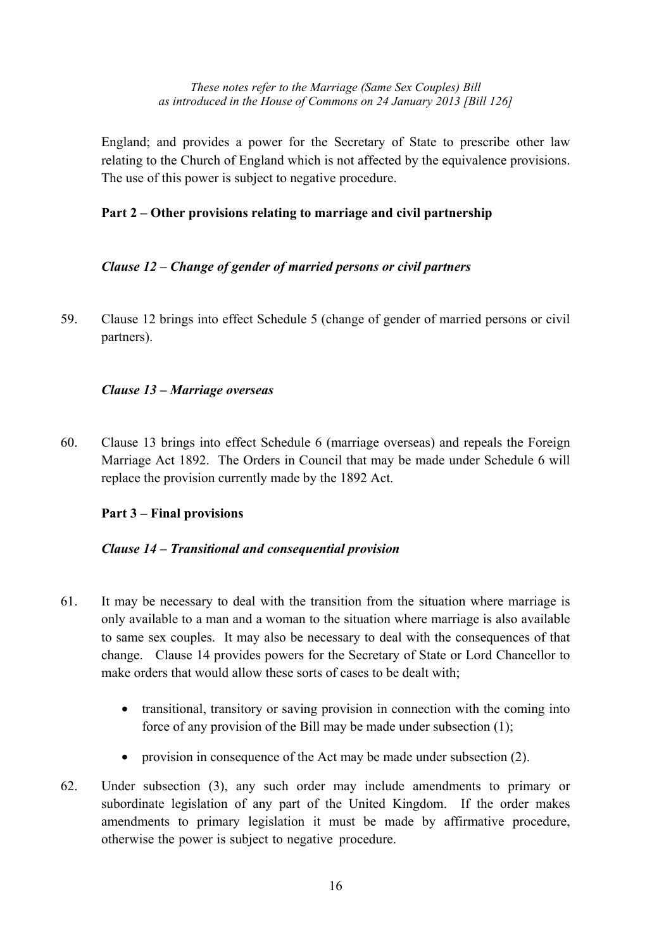England; and provides a power for the Secretary of State to prescribe other law relating to the Church of England which is not affected by the equivalence provisions. The use of this power is subject to negative procedure.

## **Part 2 – Other provisions relating to marriage and civil partnership**

## *Clause 12 – Change of gender of married persons or civil partners*

59. Clause 12 brings into effect Schedule 5 (change of gender of married persons or civil partners).

## *Clause 13 – Marriage overseas*

60. Clause 13 brings into effect Schedule 6 (marriage overseas) and repeals the Foreign Marriage Act 1892. The Orders in Council that may be made under Schedule 6 will replace the provision currently made by the 1892 Act.

## **Part 3 – Final provisions**

## *Clause 14 – Transitional and consequential provision*

- 61. It may be necessary to deal with the transition from the situation where marriage is only available to a man and a woman to the situation where marriage is also available to same sex couples. It may also be necessary to deal with the consequences of that change. Clause 14 provides powers for the Secretary of State or Lord Chancellor to make orders that would allow these sorts of cases to be dealt with;
	- transitional, transitory or saving provision in connection with the coming into force of any provision of the Bill may be made under subsection (1);
	- provision in consequence of the Act may be made under subsection (2).
- 62. Under subsection (3), any such order may include amendments to primary or subordinate legislation of any part of the United Kingdom. If the order makes amendments to primary legislation it must be made by affirmative procedure, otherwise the power is subject to negative procedure.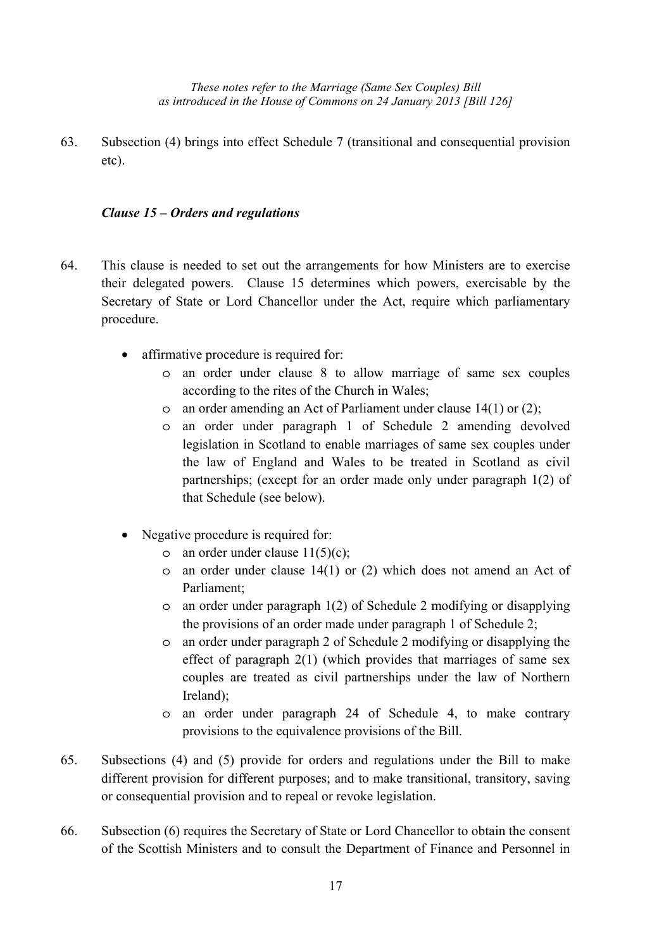63. Subsection (4) brings into effect Schedule 7 (transitional and consequential provision etc).

## *Clause 15 – Orders and regulations*

- 64. This clause is needed to set out the arrangements for how Ministers are to exercise their delegated powers. Clause 15 determines which powers, exercisable by the Secretary of State or Lord Chancellor under the Act, require which parliamentary procedure.
	- affirmative procedure is required for:
		- o an order under clause 8 to allow marriage of same sex couples according to the rites of the Church in Wales;
		- o an order amending an Act of Parliament under clause 14(1) or (2);
		- o an order under paragraph 1 of Schedule 2 amending devolved legislation in Scotland to enable marriages of same sex couples under the law of England and Wales to be treated in Scotland as civil partnerships; (except for an order made only under paragraph 1(2) of that Schedule (see below).
	- Negative procedure is required for:
		- $\circ$  an order under clause 11(5)(c);
		- o an order under clause 14(1) or (2) which does not amend an Act of Parliament;
		- o an order under paragraph 1(2) of Schedule 2 modifying or disapplying the provisions of an order made under paragraph 1 of Schedule 2;
		- o an order under paragraph 2 of Schedule 2 modifying or disapplying the effect of paragraph 2(1) (which provides that marriages of same sex couples are treated as civil partnerships under the law of Northern Ireland);
		- o an order under paragraph 24 of Schedule 4, to make contrary provisions to the equivalence provisions of the Bill.
- 65. Subsections (4) and (5) provide for orders and regulations under the Bill to make different provision for different purposes; and to make transitional, transitory, saving or consequential provision and to repeal or revoke legislation.
- 66. Subsection (6) requires the Secretary of State or Lord Chancellor to obtain the consent of the Scottish Ministers and to consult the Department of Finance and Personnel in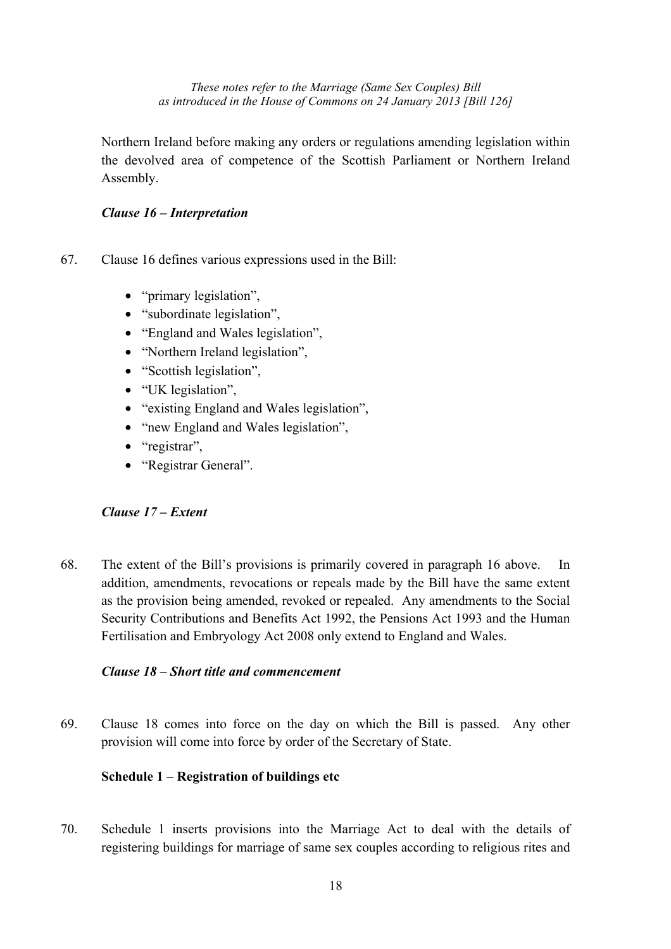Northern Ireland before making any orders or regulations amending legislation within the devolved area of competence of the Scottish Parliament or Northern Ireland Assembly.

## *Clause 16 – Interpretation*

- 67. Clause 16 defines various expressions used in the Bill:
	- "primary legislation",
	- "subordinate legislation",
	- "England and Wales legislation",
	- "Northern Ireland legislation",
	- "Scottish legislation",
	- "UK legislation",
	- "existing England and Wales legislation",
	- "new England and Wales legislation",
	- "registrar",
	- "Registrar General".

# *Clause 17 – Extent*

68. The extent of the Bill's provisions is primarily covered in paragraph 16 above. In addition, amendments, revocations or repeals made by the Bill have the same extent as the provision being amended, revoked or repealed. Any amendments to the Social Security Contributions and Benefits Act 1992, the Pensions Act 1993 and the Human Fertilisation and Embryology Act 2008 only extend to England and Wales.

## *Clause 18 – Short title and commencement*

69. Clause 18 comes into force on the day on which the Bill is passed. Any other provision will come into force by order of the Secretary of State.

# **Schedule 1 – Registration of buildings etc**

70. Schedule 1 inserts provisions into the Marriage Act to deal with the details of registering buildings for marriage of same sex couples according to religious rites and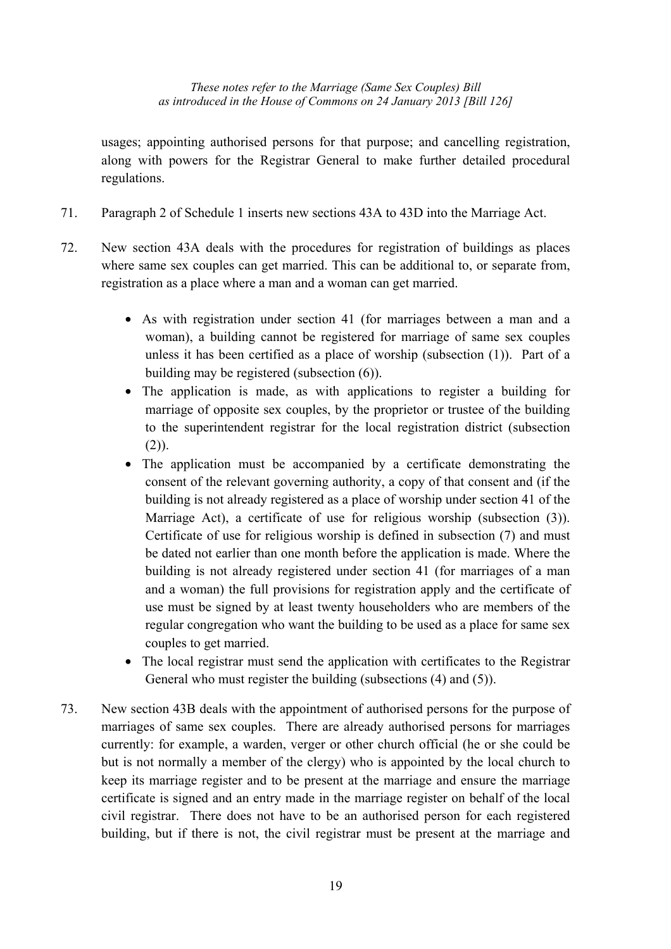usages; appointing authorised persons for that purpose; and cancelling registration, along with powers for the Registrar General to make further detailed procedural regulations.

- 71. Paragraph 2 of Schedule 1 inserts new sections 43A to 43D into the Marriage Act.
- 72. New section 43A deals with the procedures for registration of buildings as places where same sex couples can get married. This can be additional to, or separate from, registration as a place where a man and a woman can get married.
	- As with registration under section 41 (for marriages between a man and a woman), a building cannot be registered for marriage of same sex couples unless it has been certified as a place of worship (subsection (1)). Part of a building may be registered (subsection (6)).
	- The application is made, as with applications to register a building for marriage of opposite sex couples, by the proprietor or trustee of the building to the superintendent registrar for the local registration district (subsection  $(2)$ ).
	- The application must be accompanied by a certificate demonstrating the consent of the relevant governing authority, a copy of that consent and (if the building is not already registered as a place of worship under section 41 of the Marriage Act), a certificate of use for religious worship (subsection (3)). Certificate of use for religious worship is defined in subsection (7) and must be dated not earlier than one month before the application is made. Where the building is not already registered under section 41 (for marriages of a man and a woman) the full provisions for registration apply and the certificate of use must be signed by at least twenty householders who are members of the regular congregation who want the building to be used as a place for same sex couples to get married.
	- The local registrar must send the application with certificates to the Registrar General who must register the building (subsections (4) and (5)).
- 73. New section 43B deals with the appointment of authorised persons for the purpose of marriages of same sex couples. There are already authorised persons for marriages currently: for example, a warden, verger or other church official (he or she could be but is not normally a member of the clergy) who is appointed by the local church to keep its marriage register and to be present at the marriage and ensure the marriage certificate is signed and an entry made in the marriage register on behalf of the local civil registrar. There does not have to be an authorised person for each registered building, but if there is not, the civil registrar must be present at the marriage and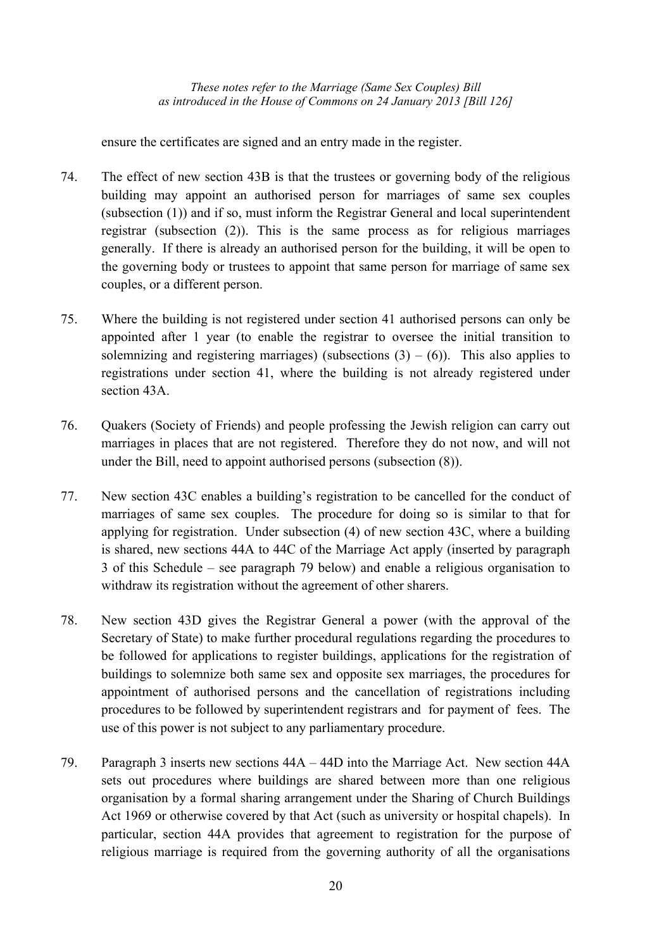ensure the certificates are signed and an entry made in the register.

- 74. The effect of new section 43B is that the trustees or governing body of the religious building may appoint an authorised person for marriages of same sex couples (subsection (1)) and if so, must inform the Registrar General and local superintendent registrar (subsection (2)). This is the same process as for religious marriages generally. If there is already an authorised person for the building, it will be open to the governing body or trustees to appoint that same person for marriage of same sex couples, or a different person.
- 75. Where the building is not registered under section 41 authorised persons can only be appointed after 1 year (to enable the registrar to oversee the initial transition to solemnizing and registering marriages) (subsections  $(3) - (6)$ ). This also applies to registrations under section 41, where the building is not already registered under section 43A.
- 76. Quakers (Society of Friends) and people professing the Jewish religion can carry out marriages in places that are not registered. Therefore they do not now, and will not under the Bill, need to appoint authorised persons (subsection (8)).
- 77. New section 43C enables a building's registration to be cancelled for the conduct of marriages of same sex couples. The procedure for doing so is similar to that for applying for registration. Under subsection (4) of new section 43C, where a building is shared, new sections 44A to 44C of the Marriage Act apply (inserted by paragraph 3 of this Schedule – see paragraph 79 below) and enable a religious organisation to withdraw its registration without the agreement of other sharers.
- 78. New section 43D gives the Registrar General a power (with the approval of the Secretary of State) to make further procedural regulations regarding the procedures to be followed for applications to register buildings, applications for the registration of buildings to solemnize both same sex and opposite sex marriages, the procedures for appointment of authorised persons and the cancellation of registrations including procedures to be followed by superintendent registrars and for payment of fees. The use of this power is not subject to any parliamentary procedure.
- 79. Paragraph 3 inserts new sections 44A 44D into the Marriage Act. New section 44A sets out procedures where buildings are shared between more than one religious organisation by a formal sharing arrangement under the Sharing of Church Buildings Act 1969 or otherwise covered by that Act (such as university or hospital chapels). In particular, section 44A provides that agreement to registration for the purpose of religious marriage is required from the governing authority of all the organisations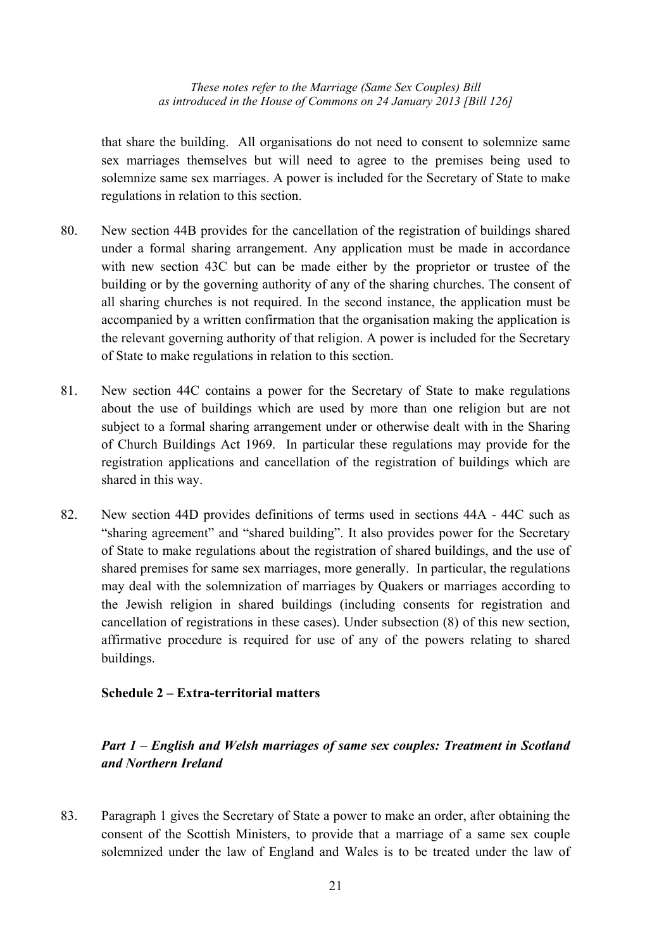that share the building. All organisations do not need to consent to solemnize same sex marriages themselves but will need to agree to the premises being used to solemnize same sex marriages. A power is included for the Secretary of State to make regulations in relation to this section.

- 80. New section 44B provides for the cancellation of the registration of buildings shared under a formal sharing arrangement. Any application must be made in accordance with new section 43C but can be made either by the proprietor or trustee of the building or by the governing authority of any of the sharing churches. The consent of all sharing churches is not required. In the second instance, the application must be accompanied by a written confirmation that the organisation making the application is the relevant governing authority of that religion. A power is included for the Secretary of State to make regulations in relation to this section.
- 81. New section 44C contains a power for the Secretary of State to make regulations about the use of buildings which are used by more than one religion but are not subject to a formal sharing arrangement under or otherwise dealt with in the Sharing of Church Buildings Act 1969. In particular these regulations may provide for the registration applications and cancellation of the registration of buildings which are shared in this way.
- 82. New section 44D provides definitions of terms used in sections 44A 44C such as "sharing agreement" and "shared building". It also provides power for the Secretary of State to make regulations about the registration of shared buildings, and the use of shared premises for same sex marriages, more generally. In particular, the regulations may deal with the solemnization of marriages by Quakers or marriages according to the Jewish religion in shared buildings (including consents for registration and cancellation of registrations in these cases). Under subsection (8) of this new section, affirmative procedure is required for use of any of the powers relating to shared buildings.

#### **Schedule 2 – Extra-territorial matters**

# *Part 1 – English and Welsh marriages of same sex couples: Treatment in Scotland and Northern Ireland*

83. Paragraph 1 gives the Secretary of State a power to make an order, after obtaining the consent of the Scottish Ministers, to provide that a marriage of a same sex couple solemnized under the law of England and Wales is to be treated under the law of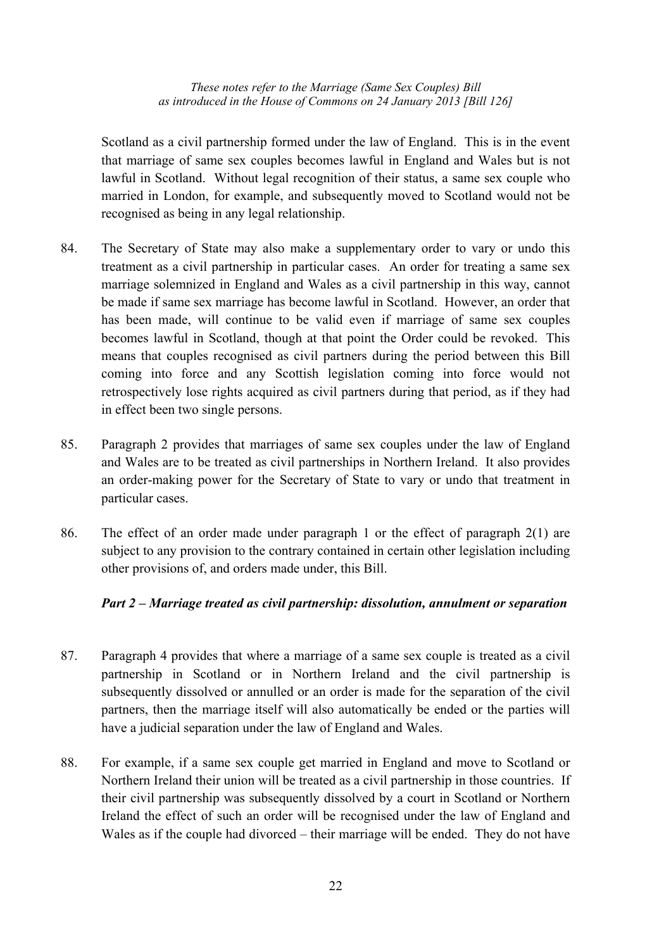Scotland as a civil partnership formed under the law of England. This is in the event that marriage of same sex couples becomes lawful in England and Wales but is not lawful in Scotland. Without legal recognition of their status, a same sex couple who married in London, for example, and subsequently moved to Scotland would not be recognised as being in any legal relationship.

- 84. The Secretary of State may also make a supplementary order to vary or undo this treatment as a civil partnership in particular cases. An order for treating a same sex marriage solemnized in England and Wales as a civil partnership in this way, cannot be made if same sex marriage has become lawful in Scotland. However, an order that has been made, will continue to be valid even if marriage of same sex couples becomes lawful in Scotland, though at that point the Order could be revoked. This means that couples recognised as civil partners during the period between this Bill coming into force and any Scottish legislation coming into force would not retrospectively lose rights acquired as civil partners during that period, as if they had in effect been two single persons.
- 85. Paragraph 2 provides that marriages of same sex couples under the law of England and Wales are to be treated as civil partnerships in Northern Ireland. It also provides an order-making power for the Secretary of State to vary or undo that treatment in particular cases.
- 86. The effect of an order made under paragraph 1 or the effect of paragraph 2(1) are subject to any provision to the contrary contained in certain other legislation including other provisions of, and orders made under, this Bill.

## *Part 2 – Marriage treated as civil partnership: dissolution, annulment or separation*

- 87. Paragraph 4 provides that where a marriage of a same sex couple is treated as a civil partnership in Scotland or in Northern Ireland and the civil partnership is subsequently dissolved or annulled or an order is made for the separation of the civil partners, then the marriage itself will also automatically be ended or the parties will have a judicial separation under the law of England and Wales.
- 88. For example, if a same sex couple get married in England and move to Scotland or Northern Ireland their union will be treated as a civil partnership in those countries. If their civil partnership was subsequently dissolved by a court in Scotland or Northern Ireland the effect of such an order will be recognised under the law of England and Wales as if the couple had divorced – their marriage will be ended. They do not have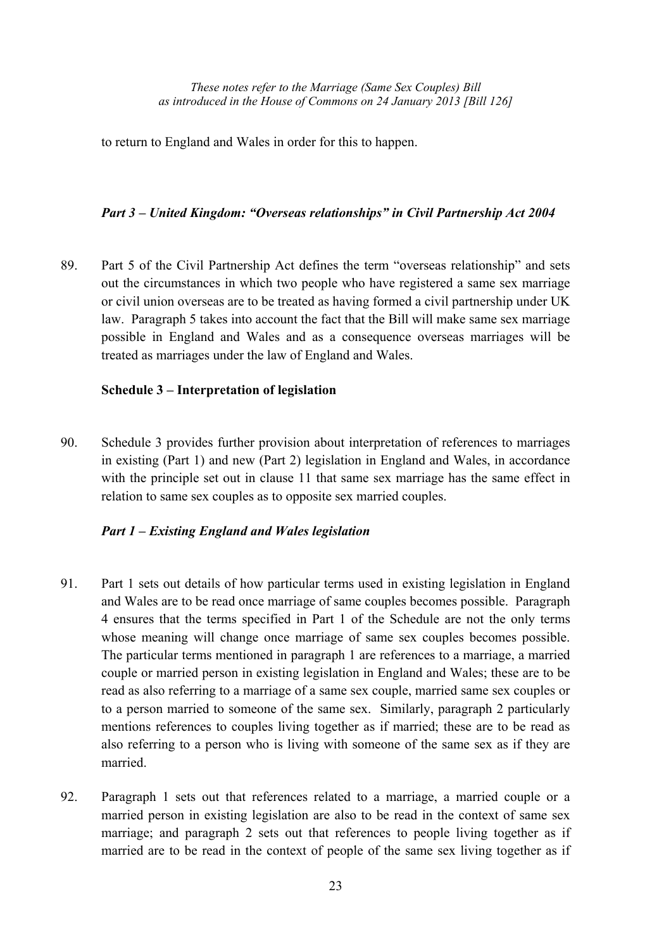to return to England and Wales in order for this to happen.

## *Part 3 – United Kingdom: "Overseas relationships" in Civil Partnership Act 2004*

89. Part 5 of the Civil Partnership Act defines the term "overseas relationship" and sets out the circumstances in which two people who have registered a same sex marriage or civil union overseas are to be treated as having formed a civil partnership under UK law. Paragraph 5 takes into account the fact that the Bill will make same sex marriage possible in England and Wales and as a consequence overseas marriages will be treated as marriages under the law of England and Wales.

## **Schedule 3 – Interpretation of legislation**

90. Schedule 3 provides further provision about interpretation of references to marriages in existing (Part 1) and new (Part 2) legislation in England and Wales, in accordance with the principle set out in clause 11 that same sex marriage has the same effect in relation to same sex couples as to opposite sex married couples.

# *Part 1 – Existing England and Wales legislation*

- 91. Part 1 sets out details of how particular terms used in existing legislation in England and Wales are to be read once marriage of same couples becomes possible. Paragraph 4 ensures that the terms specified in Part 1 of the Schedule are not the only terms whose meaning will change once marriage of same sex couples becomes possible. The particular terms mentioned in paragraph 1 are references to a marriage, a married couple or married person in existing legislation in England and Wales; these are to be read as also referring to a marriage of a same sex couple, married same sex couples or to a person married to someone of the same sex. Similarly, paragraph 2 particularly mentions references to couples living together as if married; these are to be read as also referring to a person who is living with someone of the same sex as if they are married.
- 92. Paragraph 1 sets out that references related to a marriage, a married couple or a married person in existing legislation are also to be read in the context of same sex marriage; and paragraph 2 sets out that references to people living together as if married are to be read in the context of people of the same sex living together as if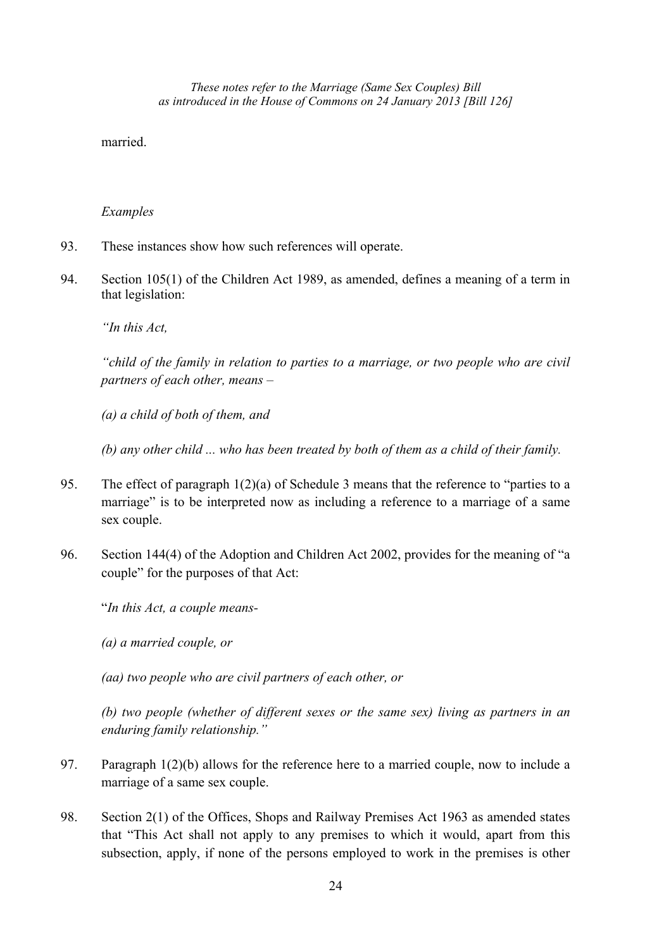married.

#### *Examples*

- 93. These instances show how such references will operate.
- 94. Section 105(1) of the Children Act 1989, as amended, defines a meaning of a term in that legislation:

*"In this Act,* 

*"child of the family in relation to parties to a marriage, or two people who are civil partners of each other, means –* 

*(a) a child of both of them, and* 

*(b) any other child ... who has been treated by both of them as a child of their family.* 

- 95. The effect of paragraph 1(2)(a) of Schedule 3 means that the reference to "parties to a marriage" is to be interpreted now as including a reference to a marriage of a same sex couple.
- 96. Section 144(4) of the Adoption and Children Act 2002, provides for the meaning of "a couple" for the purposes of that Act:

"*In this Act, a couple means-* 

*(a) a married couple, or* 

*(aa) two people who are civil partners of each other, or* 

*(b) two people (whether of different sexes or the same sex) living as partners in an enduring family relationship."* 

- 97. Paragraph 1(2)(b) allows for the reference here to a married couple, now to include a marriage of a same sex couple.
- 98. Section 2(1) of the Offices, Shops and Railway Premises Act 1963 as amended states that "This Act shall not apply to any premises to which it would, apart from this subsection, apply, if none of the persons employed to work in the premises is other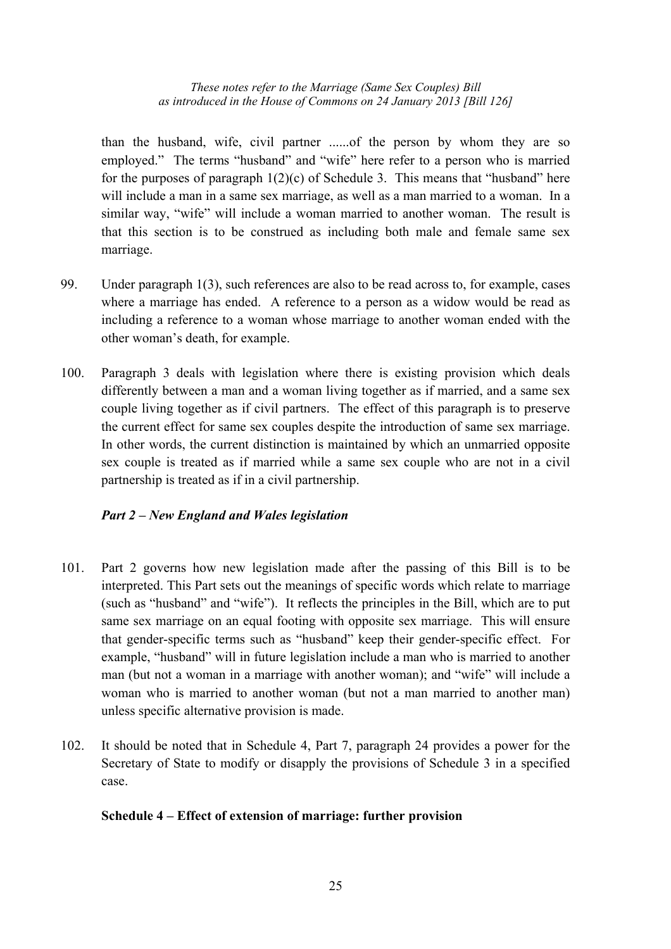than the husband, wife, civil partner ......of the person by whom they are so employed." The terms "husband" and "wife" here refer to a person who is married for the purposes of paragraph  $1(2)(c)$  of Schedule 3. This means that "husband" here will include a man in a same sex marriage, as well as a man married to a woman. In a similar way, "wife" will include a woman married to another woman. The result is that this section is to be construed as including both male and female same sex marriage.

- 99. Under paragraph 1(3), such references are also to be read across to, for example, cases where a marriage has ended. A reference to a person as a widow would be read as including a reference to a woman whose marriage to another woman ended with the other woman's death, for example.
- 100. Paragraph 3 deals with legislation where there is existing provision which deals differently between a man and a woman living together as if married, and a same sex couple living together as if civil partners. The effect of this paragraph is to preserve the current effect for same sex couples despite the introduction of same sex marriage. In other words, the current distinction is maintained by which an unmarried opposite sex couple is treated as if married while a same sex couple who are not in a civil partnership is treated as if in a civil partnership.

## *Part 2 – New England and Wales legislation*

- 101. Part 2 governs how new legislation made after the passing of this Bill is to be interpreted. This Part sets out the meanings of specific words which relate to marriage (such as "husband" and "wife"). It reflects the principles in the Bill, which are to put same sex marriage on an equal footing with opposite sex marriage. This will ensure that gender-specific terms such as "husband" keep their gender-specific effect. For example, "husband" will in future legislation include a man who is married to another man (but not a woman in a marriage with another woman); and "wife" will include a woman who is married to another woman (but not a man married to another man) unless specific alternative provision is made.
- 102. It should be noted that in Schedule 4, Part 7, paragraph 24 provides a power for the Secretary of State to modify or disapply the provisions of Schedule 3 in a specified case.

## **Schedule 4 – Effect of extension of marriage: further provision**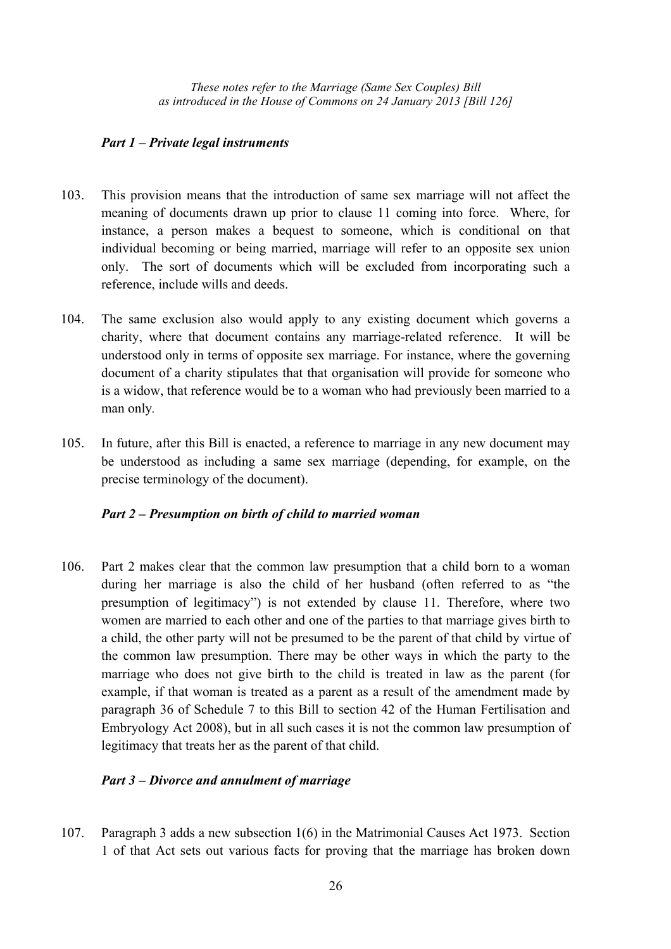## *Part 1 – Private legal instruments*

- 103. This provision means that the introduction of same sex marriage will not affect the meaning of documents drawn up prior to clause 11 coming into force. Where, for instance, a person makes a bequest to someone, which is conditional on that individual becoming or being married, marriage will refer to an opposite sex union only. The sort of documents which will be excluded from incorporating such a reference, include wills and deeds.
- 104. The same exclusion also would apply to any existing document which governs a charity, where that document contains any marriage-related reference. It will be understood only in terms of opposite sex marriage. For instance, where the governing document of a charity stipulates that that organisation will provide for someone who is a widow, that reference would be to a woman who had previously been married to a man only*.*
- 105. In future, after this Bill is enacted, a reference to marriage in any new document may be understood as including a same sex marriage (depending, for example, on the precise terminology of the document).

## *Part 2 – Presumption on birth of child to married woman*

106. Part 2 makes clear that the common law presumption that a child born to a woman during her marriage is also the child of her husband (often referred to as "the presumption of legitimacy") is not extended by clause 11. Therefore, where two women are married to each other and one of the parties to that marriage gives birth to a child, the other party will not be presumed to be the parent of that child by virtue of the common law presumption. There may be other ways in which the party to the marriage who does not give birth to the child is treated in law as the parent (for example, if that woman is treated as a parent as a result of the amendment made by paragraph 36 of Schedule 7 to this Bill to section 42 of the Human Fertilisation and Embryology Act 2008), but in all such cases it is not the common law presumption of legitimacy that treats her as the parent of that child.

## *Part 3 – Divorce and annulment of marriage*

107. Paragraph 3 adds a new subsection 1(6) in the Matrimonial Causes Act 1973. Section 1 of that Act sets out various facts for proving that the marriage has broken down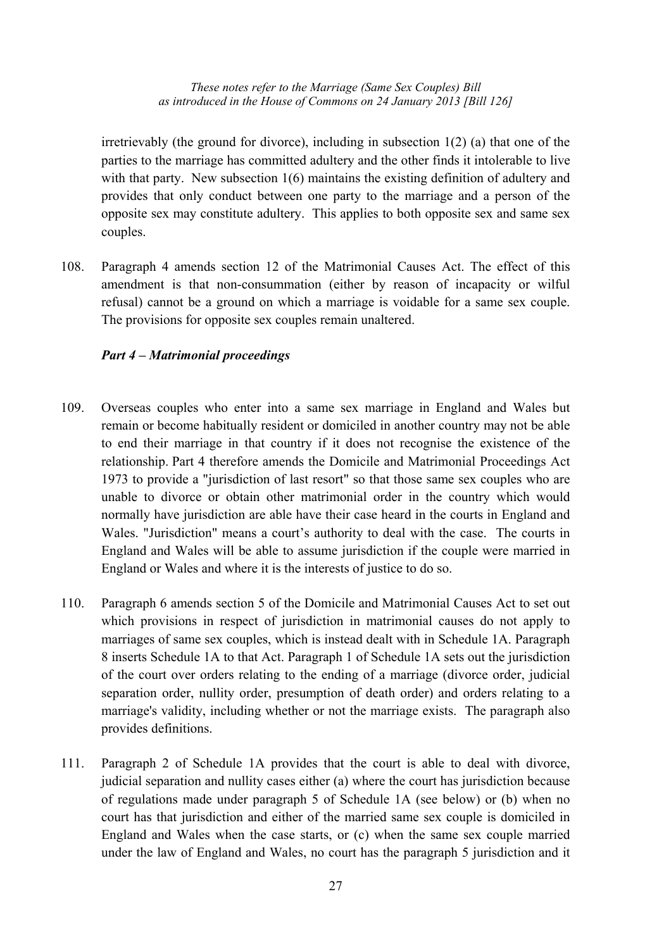irretrievably (the ground for divorce), including in subsection  $1(2)$  (a) that one of the parties to the marriage has committed adultery and the other finds it intolerable to live with that party. New subsection 1(6) maintains the existing definition of adultery and provides that only conduct between one party to the marriage and a person of the opposite sex may constitute adultery. This applies to both opposite sex and same sex couples.

108. Paragraph 4 amends section 12 of the Matrimonial Causes Act. The effect of this amendment is that non-consummation (either by reason of incapacity or wilful refusal) cannot be a ground on which a marriage is voidable for a same sex couple. The provisions for opposite sex couples remain unaltered.

## *Part 4 – Matrimonial proceedings*

- 109. Overseas couples who enter into a same sex marriage in England and Wales but remain or become habitually resident or domiciled in another country may not be able to end their marriage in that country if it does not recognise the existence of the relationship. Part 4 therefore amends the Domicile and Matrimonial Proceedings Act 1973 to provide a "jurisdiction of last resort" so that those same sex couples who are unable to divorce or obtain other matrimonial order in the country which would normally have jurisdiction are able have their case heard in the courts in England and Wales. "Jurisdiction" means a court's authority to deal with the case. The courts in England and Wales will be able to assume jurisdiction if the couple were married in England or Wales and where it is the interests of justice to do so.
- 110. Paragraph 6 amends section 5 of the Domicile and Matrimonial Causes Act to set out which provisions in respect of jurisdiction in matrimonial causes do not apply to marriages of same sex couples, which is instead dealt with in Schedule 1A. Paragraph 8 inserts Schedule 1A to that Act. Paragraph 1 of Schedule 1A sets out the jurisdiction of the court over orders relating to the ending of a marriage (divorce order, judicial separation order, nullity order, presumption of death order) and orders relating to a marriage's validity, including whether or not the marriage exists. The paragraph also provides definitions.
- 111. Paragraph 2 of Schedule 1A provides that the court is able to deal with divorce, judicial separation and nullity cases either (a) where the court has jurisdiction because of regulations made under paragraph 5 of Schedule 1A (see below) or (b) when no court has that jurisdiction and either of the married same sex couple is domiciled in England and Wales when the case starts, or (c) when the same sex couple married under the law of England and Wales, no court has the paragraph 5 jurisdiction and it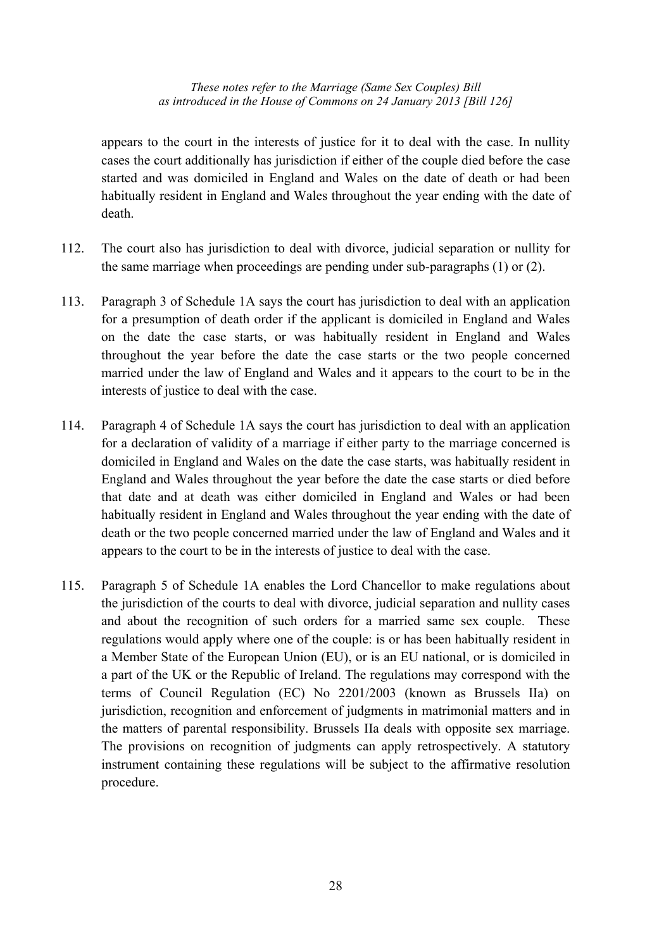appears to the court in the interests of justice for it to deal with the case. In nullity cases the court additionally has jurisdiction if either of the couple died before the case started and was domiciled in England and Wales on the date of death or had been habitually resident in England and Wales throughout the year ending with the date of death.

- 112. The court also has jurisdiction to deal with divorce, judicial separation or nullity for the same marriage when proceedings are pending under sub-paragraphs (1) or (2).
- 113. Paragraph 3 of Schedule 1A says the court has jurisdiction to deal with an application for a presumption of death order if the applicant is domiciled in England and Wales on the date the case starts, or was habitually resident in England and Wales throughout the year before the date the case starts or the two people concerned married under the law of England and Wales and it appears to the court to be in the interests of justice to deal with the case.
- 114. Paragraph 4 of Schedule 1A says the court has jurisdiction to deal with an application for a declaration of validity of a marriage if either party to the marriage concerned is domiciled in England and Wales on the date the case starts, was habitually resident in England and Wales throughout the year before the date the case starts or died before that date and at death was either domiciled in England and Wales or had been habitually resident in England and Wales throughout the year ending with the date of death or the two people concerned married under the law of England and Wales and it appears to the court to be in the interests of justice to deal with the case.
- 115. Paragraph 5 of Schedule 1A enables the Lord Chancellor to make regulations about the jurisdiction of the courts to deal with divorce, judicial separation and nullity cases and about the recognition of such orders for a married same sex couple. These regulations would apply where one of the couple: is or has been habitually resident in a Member State of the European Union (EU), or is an EU national, or is domiciled in a part of the UK or the Republic of Ireland. The regulations may correspond with the terms of Council Regulation (EC) No 2201/2003 (known as Brussels IIa) on jurisdiction, recognition and enforcement of judgments in matrimonial matters and in the matters of parental responsibility. Brussels IIa deals with opposite sex marriage. The provisions on recognition of judgments can apply retrospectively. A statutory instrument containing these regulations will be subject to the affirmative resolution procedure.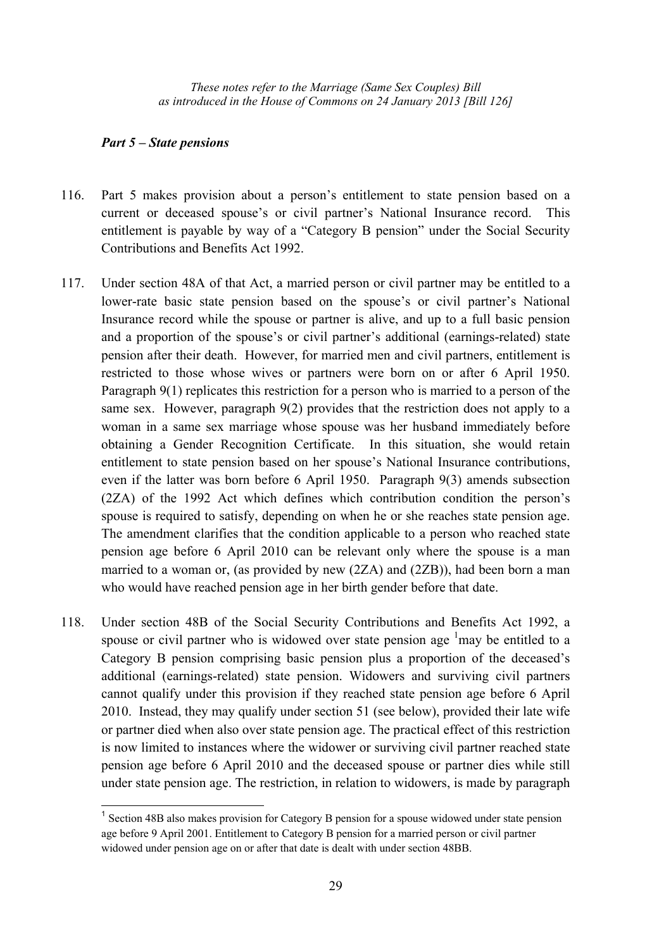## *Part 5 – State pensions*

 $\overline{a}$ 

- 116. Part 5 makes provision about a person's entitlement to state pension based on a current or deceased spouse's or civil partner's National Insurance record. This entitlement is payable by way of a "Category B pension" under the Social Security Contributions and Benefits Act 1992.
- 117. Under section 48A of that Act, a married person or civil partner may be entitled to a lower-rate basic state pension based on the spouse's or civil partner's National Insurance record while the spouse or partner is alive, and up to a full basic pension and a proportion of the spouse's or civil partner's additional (earnings-related) state pension after their death. However, for married men and civil partners, entitlement is restricted to those whose wives or partners were born on or after 6 April 1950. Paragraph 9(1) replicates this restriction for a person who is married to a person of the same sex. However, paragraph 9(2) provides that the restriction does not apply to a woman in a same sex marriage whose spouse was her husband immediately before obtaining a Gender Recognition Certificate. In this situation, she would retain entitlement to state pension based on her spouse's National Insurance contributions, even if the latter was born before 6 April 1950. Paragraph 9(3) amends subsection (2ZA) of the 1992 Act which defines which contribution condition the person's spouse is required to satisfy, depending on when he or she reaches state pension age. The amendment clarifies that the condition applicable to a person who reached state pension age before 6 April 2010 can be relevant only where the spouse is a man married to a woman or, (as provided by new (2ZA) and (2ZB)), had been born a man who would have reached pension age in her birth gender before that date.
- 118. Under section 48B of the Social Security Contributions and Benefits Act 1992, a spouse or civil partner who is widowed over state pension age  $\frac{1}{2}$  may be entitled to a Category B pension comprising basic pension plus a proportion of the deceased's additional (earnings-related) state pension. Widowers and surviving civil partners cannot qualify under this provision if they reached state pension age before 6 April 2010. Instead, they may qualify under section 51 (see below), provided their late wife or partner died when also over state pension age. The practical effect of this restriction is now limited to instances where the widower or surviving civil partner reached state pension age before 6 April 2010 and the deceased spouse or partner dies while still under state pension age. The restriction, in relation to widowers, is made by paragraph

<sup>&</sup>lt;sup>1</sup> Section 48B also makes provision for Category B pension for a spouse widowed under state pension age before 9 April 2001. Entitlement to Category B pension for a married person or civil partner widowed under pension age on or after that date is dealt with under section 48BB.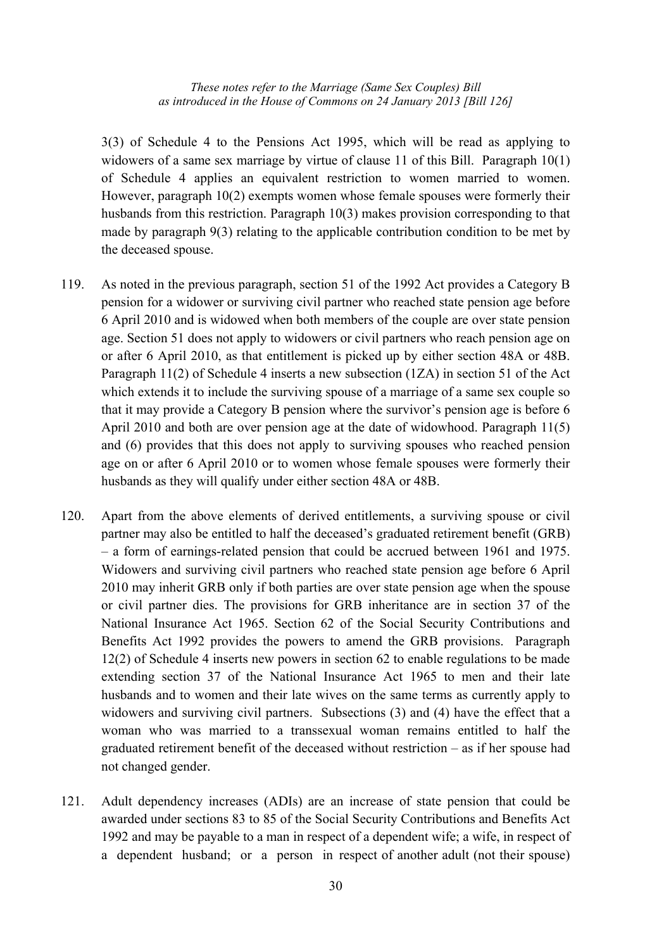3(3) of Schedule 4 to the Pensions Act 1995, which will be read as applying to widowers of a same sex marriage by virtue of clause 11 of this Bill. Paragraph 10(1) of Schedule 4 applies an equivalent restriction to women married to women. However, paragraph 10(2) exempts women whose female spouses were formerly their husbands from this restriction. Paragraph 10(3) makes provision corresponding to that made by paragraph 9(3) relating to the applicable contribution condition to be met by the deceased spouse.

- 119. As noted in the previous paragraph, section 51 of the 1992 Act provides a Category B pension for a widower or surviving civil partner who reached state pension age before 6 April 2010 and is widowed when both members of the couple are over state pension age. Section 51 does not apply to widowers or civil partners who reach pension age on or after 6 April 2010, as that entitlement is picked up by either section 48A or 48B. Paragraph 11(2) of Schedule 4 inserts a new subsection (1ZA) in section 51 of the Act which extends it to include the surviving spouse of a marriage of a same sex couple so that it may provide a Category B pension where the survivor's pension age is before 6 April 2010 and both are over pension age at the date of widowhood. Paragraph 11(5) and (6) provides that this does not apply to surviving spouses who reached pension age on or after 6 April 2010 or to women whose female spouses were formerly their husbands as they will qualify under either section 48A or 48B.
- 120. Apart from the above elements of derived entitlements, a surviving spouse or civil partner may also be entitled to half the deceased's graduated retirement benefit (GRB) – a form of earnings-related pension that could be accrued between 1961 and 1975. Widowers and surviving civil partners who reached state pension age before 6 April 2010 may inherit GRB only if both parties are over state pension age when the spouse or civil partner dies. The provisions for GRB inheritance are in section 37 of the National Insurance Act 1965. Section 62 of the Social Security Contributions and Benefits Act 1992 provides the powers to amend the GRB provisions. Paragraph 12(2) of Schedule 4 inserts new powers in section 62 to enable regulations to be made extending section 37 of the National Insurance Act 1965 to men and their late husbands and to women and their late wives on the same terms as currently apply to widowers and surviving civil partners. Subsections (3) and (4) have the effect that a woman who was married to a transsexual woman remains entitled to half the graduated retirement benefit of the deceased without restriction – as if her spouse had not changed gender.
- 121. Adult dependency increases (ADIs) are an increase of state pension that could be awarded under sections 83 to 85 of the Social Security Contributions and Benefits Act 1992 and may be payable to a man in respect of a dependent wife; a wife, in respect of a dependent husband; or a person in respect of another adult (not their spouse)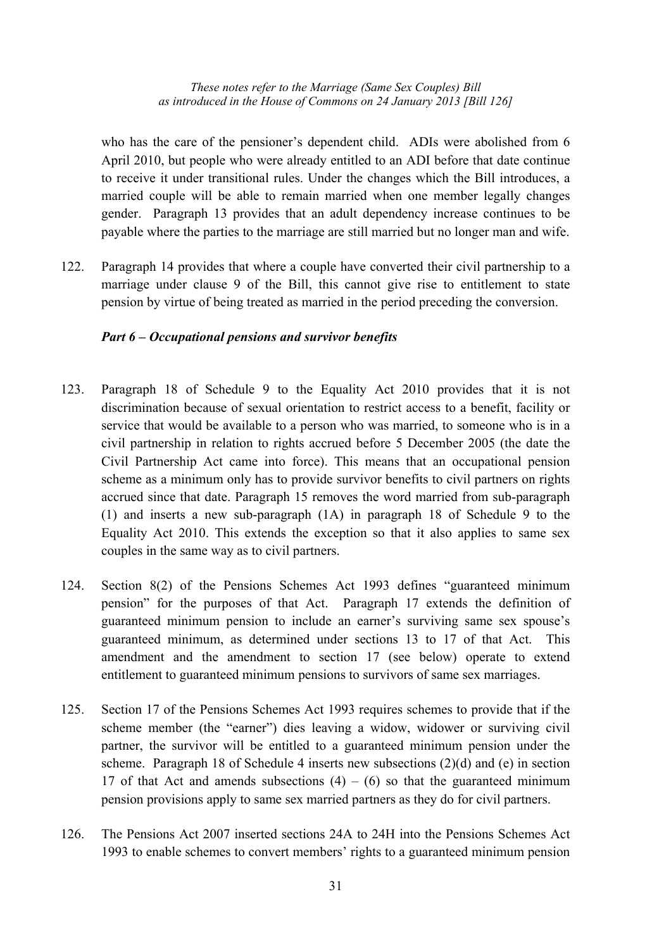who has the care of the pensioner's dependent child. ADIs were abolished from 6 April 2010, but people who were already entitled to an ADI before that date continue to receive it under transitional rules. Under the changes which the Bill introduces, a married couple will be able to remain married when one member legally changes gender. Paragraph 13 provides that an adult dependency increase continues to be payable where the parties to the marriage are still married but no longer man and wife.

122. Paragraph 14 provides that where a couple have converted their civil partnership to a marriage under clause 9 of the Bill, this cannot give rise to entitlement to state pension by virtue of being treated as married in the period preceding the conversion.

#### *Part 6 – Occupational pensions and survivor benefits*

- 123. Paragraph 18 of Schedule 9 to the Equality Act 2010 provides that it is not discrimination because of sexual orientation to restrict access to a benefit, facility or service that would be available to a person who was married, to someone who is in a civil partnership in relation to rights accrued before 5 December 2005 (the date the Civil Partnership Act came into force). This means that an occupational pension scheme as a minimum only has to provide survivor benefits to civil partners on rights accrued since that date. Paragraph 15 removes the word married from sub-paragraph (1) and inserts a new sub-paragraph (1A) in paragraph 18 of Schedule 9 to the Equality Act 2010. This extends the exception so that it also applies to same sex couples in the same way as to civil partners.
- 124. Section 8(2) of the Pensions Schemes Act 1993 defines "guaranteed minimum pension" for the purposes of that Act. Paragraph 17 extends the definition of guaranteed minimum pension to include an earner's surviving same sex spouse's guaranteed minimum, as determined under sections 13 to 17 of that Act. This amendment and the amendment to section 17 (see below) operate to extend entitlement to guaranteed minimum pensions to survivors of same sex marriages.
- 125. Section 17 of the Pensions Schemes Act 1993 requires schemes to provide that if the scheme member (the "earner") dies leaving a widow, widower or surviving civil partner, the survivor will be entitled to a guaranteed minimum pension under the scheme. Paragraph 18 of Schedule 4 inserts new subsections (2)(d) and (e) in section 17 of that Act and amends subsections  $(4) - (6)$  so that the guaranteed minimum pension provisions apply to same sex married partners as they do for civil partners.
- 126. The Pensions Act 2007 inserted sections 24A to 24H into the Pensions Schemes Act 1993 to enable schemes to convert members' rights to a guaranteed minimum pension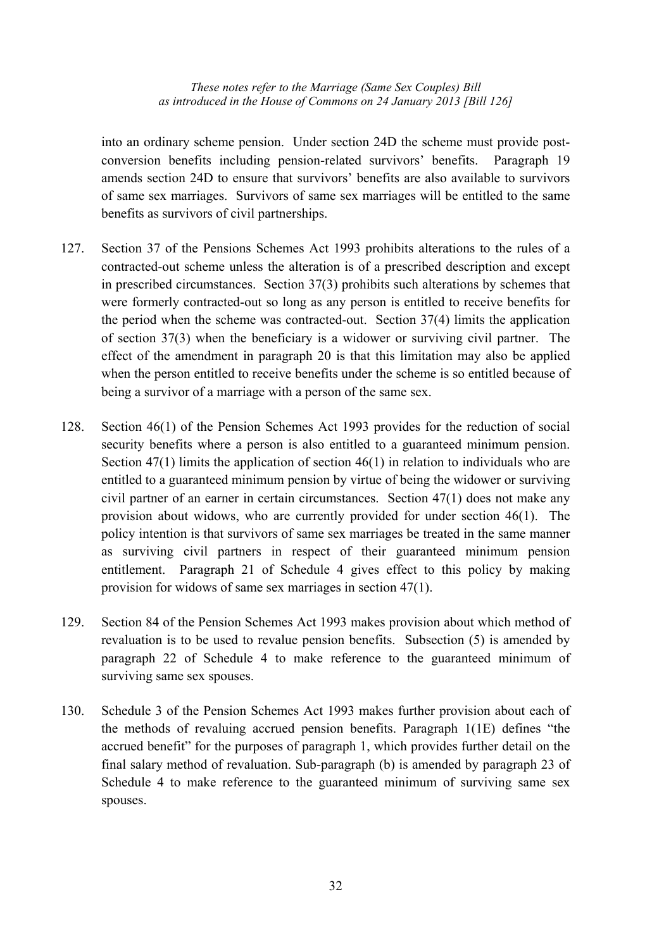into an ordinary scheme pension. Under section 24D the scheme must provide postconversion benefits including pension-related survivors' benefits. Paragraph 19 amends section 24D to ensure that survivors' benefits are also available to survivors of same sex marriages. Survivors of same sex marriages will be entitled to the same benefits as survivors of civil partnerships.

- 127. Section 37 of the Pensions Schemes Act 1993 prohibits alterations to the rules of a contracted-out scheme unless the alteration is of a prescribed description and except in prescribed circumstances. Section 37(3) prohibits such alterations by schemes that were formerly contracted-out so long as any person is entitled to receive benefits for the period when the scheme was contracted-out. Section 37(4) limits the application of section 37(3) when the beneficiary is a widower or surviving civil partner. The effect of the amendment in paragraph 20 is that this limitation may also be applied when the person entitled to receive benefits under the scheme is so entitled because of being a survivor of a marriage with a person of the same sex.
- 128. Section 46(1) of the Pension Schemes Act 1993 provides for the reduction of social security benefits where a person is also entitled to a guaranteed minimum pension. Section  $47(1)$  limits the application of section  $46(1)$  in relation to individuals who are entitled to a guaranteed minimum pension by virtue of being the widower or surviving civil partner of an earner in certain circumstances. Section 47(1) does not make any provision about widows, who are currently provided for under section 46(1). The policy intention is that survivors of same sex marriages be treated in the same manner as surviving civil partners in respect of their guaranteed minimum pension entitlement. Paragraph 21 of Schedule 4 gives effect to this policy by making provision for widows of same sex marriages in section 47(1).
- 129. Section 84 of the Pension Schemes Act 1993 makes provision about which method of revaluation is to be used to revalue pension benefits. Subsection (5) is amended by paragraph 22 of Schedule 4 to make reference to the guaranteed minimum of surviving same sex spouses.
- 130. Schedule 3 of the Pension Schemes Act 1993 makes further provision about each of the methods of revaluing accrued pension benefits. Paragraph 1(1E) defines "the accrued benefit" for the purposes of paragraph 1, which provides further detail on the final salary method of revaluation. Sub-paragraph (b) is amended by paragraph 23 of Schedule 4 to make reference to the guaranteed minimum of surviving same sex spouses.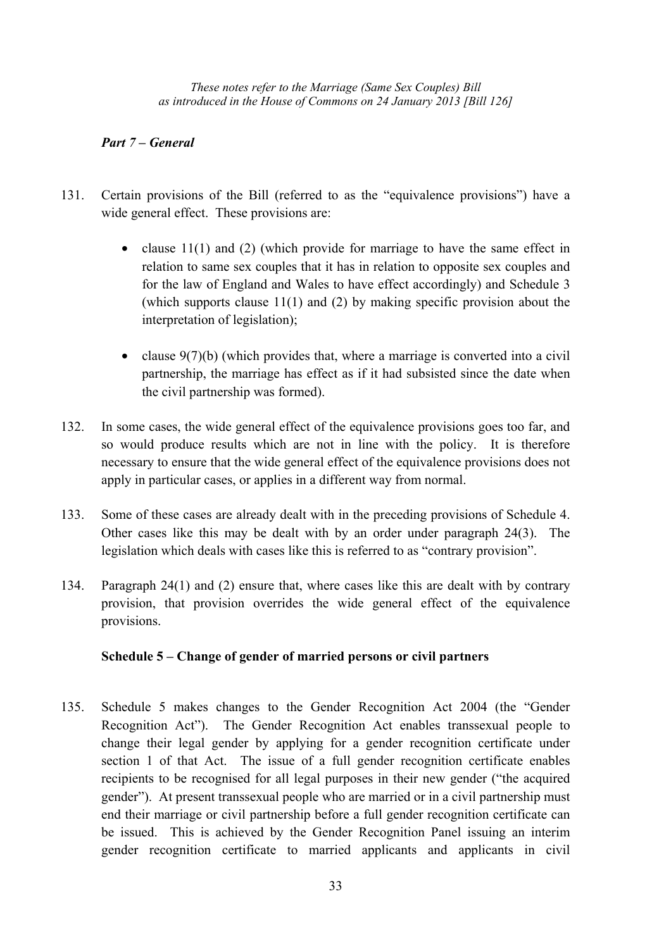## *Part 7 – General*

- 131. Certain provisions of the Bill (referred to as the "equivalence provisions") have a wide general effect. These provisions are:
	- clause 11(1) and (2) (which provide for marriage to have the same effect in relation to same sex couples that it has in relation to opposite sex couples and for the law of England and Wales to have effect accordingly) and Schedule 3 (which supports clause 11(1) and (2) by making specific provision about the interpretation of legislation);
	- clause  $9(7)(b)$  (which provides that, where a marriage is converted into a civil partnership, the marriage has effect as if it had subsisted since the date when the civil partnership was formed).
- 132. In some cases, the wide general effect of the equivalence provisions goes too far, and so would produce results which are not in line with the policy. It is therefore necessary to ensure that the wide general effect of the equivalence provisions does not apply in particular cases, or applies in a different way from normal.
- 133. Some of these cases are already dealt with in the preceding provisions of Schedule 4. Other cases like this may be dealt with by an order under paragraph 24(3). The legislation which deals with cases like this is referred to as "contrary provision".
- 134. Paragraph 24(1) and (2) ensure that, where cases like this are dealt with by contrary provision, that provision overrides the wide general effect of the equivalence provisions.

## **Schedule 5 – Change of gender of married persons or civil partners**

135. Schedule 5 makes changes to the Gender Recognition Act 2004 (the "Gender Recognition Act"). The Gender Recognition Act enables transsexual people to change their legal gender by applying for a gender recognition certificate under section 1 of that Act. The issue of a full gender recognition certificate enables recipients to be recognised for all legal purposes in their new gender ("the acquired gender"). At present transsexual people who are married or in a civil partnership must end their marriage or civil partnership before a full gender recognition certificate can be issued. This is achieved by the Gender Recognition Panel issuing an interim gender recognition certificate to married applicants and applicants in civil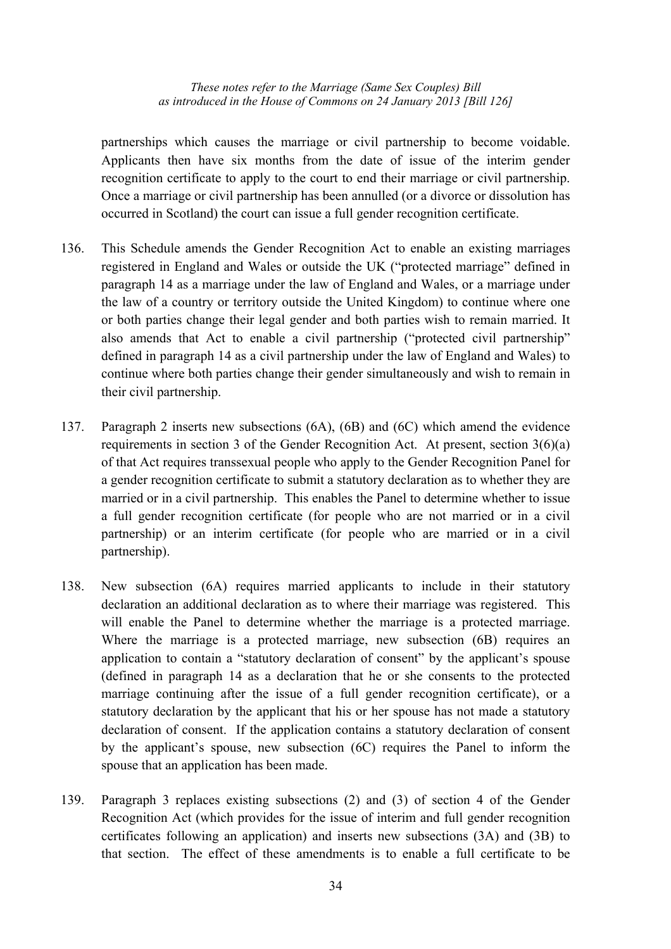partnerships which causes the marriage or civil partnership to become voidable. Applicants then have six months from the date of issue of the interim gender recognition certificate to apply to the court to end their marriage or civil partnership. Once a marriage or civil partnership has been annulled (or a divorce or dissolution has occurred in Scotland) the court can issue a full gender recognition certificate.

- 136. This Schedule amends the Gender Recognition Act to enable an existing marriages registered in England and Wales or outside the UK ("protected marriage" defined in paragraph 14 as a marriage under the law of England and Wales, or a marriage under the law of a country or territory outside the United Kingdom) to continue where one or both parties change their legal gender and both parties wish to remain married. It also amends that Act to enable a civil partnership ("protected civil partnership" defined in paragraph 14 as a civil partnership under the law of England and Wales) to continue where both parties change their gender simultaneously and wish to remain in their civil partnership.
- 137. Paragraph 2 inserts new subsections (6A), (6B) and (6C) which amend the evidence requirements in section 3 of the Gender Recognition Act. At present, section 3(6)(a) of that Act requires transsexual people who apply to the Gender Recognition Panel for a gender recognition certificate to submit a statutory declaration as to whether they are married or in a civil partnership. This enables the Panel to determine whether to issue a full gender recognition certificate (for people who are not married or in a civil partnership) or an interim certificate (for people who are married or in a civil partnership).
- 138. New subsection (6A) requires married applicants to include in their statutory declaration an additional declaration as to where their marriage was registered. This will enable the Panel to determine whether the marriage is a protected marriage. Where the marriage is a protected marriage, new subsection (6B) requires an application to contain a "statutory declaration of consent" by the applicant's spouse (defined in paragraph 14 as a declaration that he or she consents to the protected marriage continuing after the issue of a full gender recognition certificate), or a statutory declaration by the applicant that his or her spouse has not made a statutory declaration of consent. If the application contains a statutory declaration of consent by the applicant's spouse, new subsection (6C) requires the Panel to inform the spouse that an application has been made.
- 139. Paragraph 3 replaces existing subsections (2) and (3) of section 4 of the Gender Recognition Act (which provides for the issue of interim and full gender recognition certificates following an application) and inserts new subsections (3A) and (3B) to that section. The effect of these amendments is to enable a full certificate to be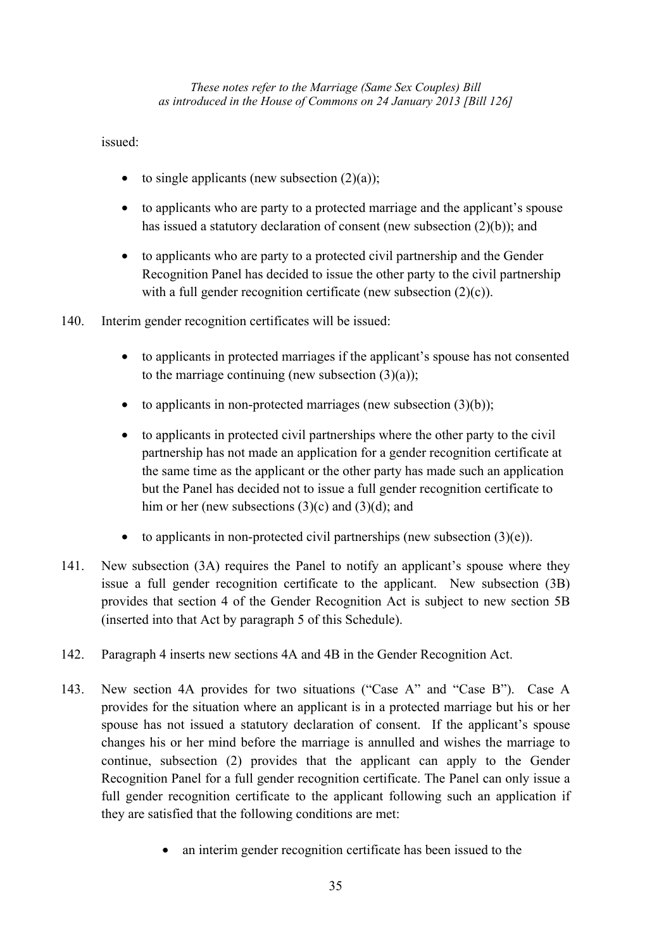## issued:

- to single applicants (new subsection  $(2)(a)$ );
- to applicants who are party to a protected marriage and the applicant's spouse has issued a statutory declaration of consent (new subsection  $(2)(b)$ ); and
- to applicants who are party to a protected civil partnership and the Gender Recognition Panel has decided to issue the other party to the civil partnership with a full gender recognition certificate (new subsection  $(2)(c)$ ).
- 140. Interim gender recognition certificates will be issued:
	- to applicants in protected marriages if the applicant's spouse has not consented to the marriage continuing (new subsection  $(3)(a)$ );
	- to applicants in non-protected marriages (new subsection  $(3)(b)$ );
	- to applicants in protected civil partnerships where the other party to the civil partnership has not made an application for a gender recognition certificate at the same time as the applicant or the other party has made such an application but the Panel has decided not to issue a full gender recognition certificate to him or her (new subsections  $(3)(c)$  and  $(3)(d)$ ; and
	- to applicants in non-protected civil partnerships (new subsection  $(3)(e)$ ).
- 141. New subsection (3A) requires the Panel to notify an applicant's spouse where they issue a full gender recognition certificate to the applicant. New subsection (3B) provides that section 4 of the Gender Recognition Act is subject to new section 5B (inserted into that Act by paragraph 5 of this Schedule).
- 142. Paragraph 4 inserts new sections 4A and 4B in the Gender Recognition Act.
- 143. New section 4A provides for two situations ("Case A" and "Case B"). Case A provides for the situation where an applicant is in a protected marriage but his or her spouse has not issued a statutory declaration of consent. If the applicant's spouse changes his or her mind before the marriage is annulled and wishes the marriage to continue, subsection (2) provides that the applicant can apply to the Gender Recognition Panel for a full gender recognition certificate. The Panel can only issue a full gender recognition certificate to the applicant following such an application if they are satisfied that the following conditions are met:
	- an interim gender recognition certificate has been issued to the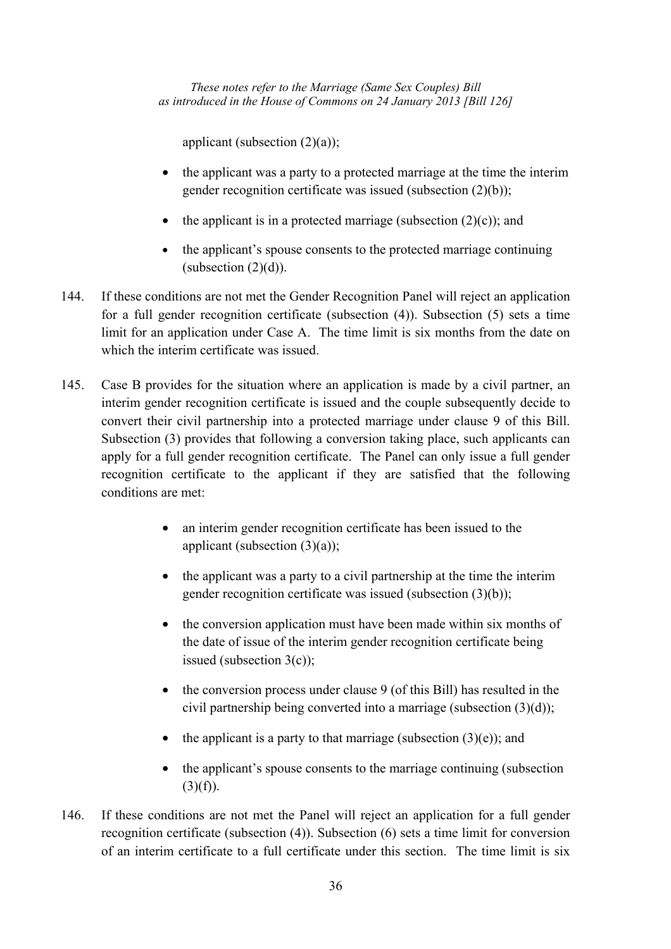applicant (subsection  $(2)(a)$ );

- the applicant was a party to a protected marriage at the time the interim gender recognition certificate was issued (subsection (2)(b));
- the applicant is in a protected marriage (subsection  $(2)(c)$ ); and
- the applicant's spouse consents to the protected marriage continuing  $(subsection (2)(d))$ .
- 144. If these conditions are not met the Gender Recognition Panel will reject an application for a full gender recognition certificate (subsection (4)). Subsection (5) sets a time limit for an application under Case A. The time limit is six months from the date on which the interim certificate was issued.
- 145. Case B provides for the situation where an application is made by a civil partner, an interim gender recognition certificate is issued and the couple subsequently decide to convert their civil partnership into a protected marriage under clause 9 of this Bill. Subsection (3) provides that following a conversion taking place, such applicants can apply for a full gender recognition certificate. The Panel can only issue a full gender recognition certificate to the applicant if they are satisfied that the following conditions are met:
	- an interim gender recognition certificate has been issued to the applicant (subsection  $(3)(a)$ );
	- the applicant was a party to a civil partnership at the time the interim gender recognition certificate was issued (subsection (3)(b));
	- the conversion application must have been made within six months of the date of issue of the interim gender recognition certificate being issued (subsection 3(c));
	- the conversion process under clause 9 (of this Bill) has resulted in the civil partnership being converted into a marriage (subsection (3)(d));
	- the applicant is a party to that marriage (subsection  $(3)(e)$ ); and
	- the applicant's spouse consents to the marriage continuing (subsection  $(3)(f)$ ).
- 146. If these conditions are not met the Panel will reject an application for a full gender recognition certificate (subsection (4)). Subsection (6) sets a time limit for conversion of an interim certificate to a full certificate under this section. The time limit is six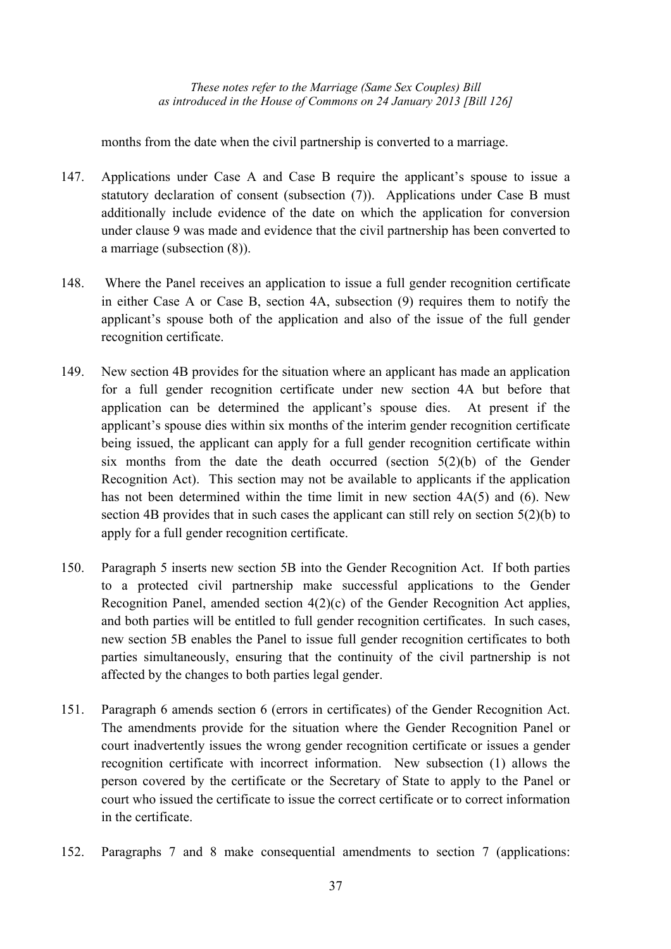months from the date when the civil partnership is converted to a marriage.

- 147. Applications under Case A and Case B require the applicant's spouse to issue a statutory declaration of consent (subsection (7)). Applications under Case B must additionally include evidence of the date on which the application for conversion under clause 9 was made and evidence that the civil partnership has been converted to a marriage (subsection (8)).
- 148. Where the Panel receives an application to issue a full gender recognition certificate in either Case A or Case B, section 4A, subsection (9) requires them to notify the applicant's spouse both of the application and also of the issue of the full gender recognition certificate.
- 149. New section 4B provides for the situation where an applicant has made an application for a full gender recognition certificate under new section 4A but before that application can be determined the applicant's spouse dies. At present if the applicant's spouse dies within six months of the interim gender recognition certificate being issued, the applicant can apply for a full gender recognition certificate within six months from the date the death occurred (section  $5(2)(b)$  of the Gender Recognition Act). This section may not be available to applicants if the application has not been determined within the time limit in new section 4A(5) and (6). New section 4B provides that in such cases the applicant can still rely on section 5(2)(b) to apply for a full gender recognition certificate.
- 150. Paragraph 5 inserts new section 5B into the Gender Recognition Act. If both parties to a protected civil partnership make successful applications to the Gender Recognition Panel, amended section 4(2)(c) of the Gender Recognition Act applies, and both parties will be entitled to full gender recognition certificates. In such cases, new section 5B enables the Panel to issue full gender recognition certificates to both parties simultaneously, ensuring that the continuity of the civil partnership is not affected by the changes to both parties legal gender.
- 151. Paragraph 6 amends section 6 (errors in certificates) of the Gender Recognition Act. The amendments provide for the situation where the Gender Recognition Panel or court inadvertently issues the wrong gender recognition certificate or issues a gender recognition certificate with incorrect information. New subsection (1) allows the person covered by the certificate or the Secretary of State to apply to the Panel or court who issued the certificate to issue the correct certificate or to correct information in the certificate.
- 152. Paragraphs 7 and 8 make consequential amendments to section 7 (applications: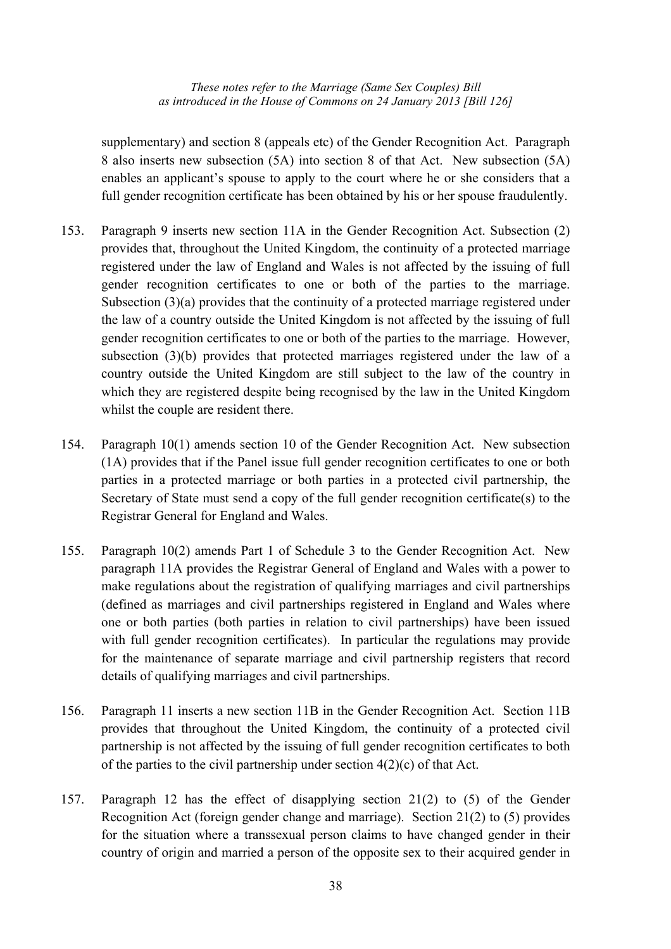supplementary) and section 8 (appeals etc) of the Gender Recognition Act. Paragraph 8 also inserts new subsection (5A) into section 8 of that Act. New subsection (5A) enables an applicant's spouse to apply to the court where he or she considers that a full gender recognition certificate has been obtained by his or her spouse fraudulently.

- 153. Paragraph 9 inserts new section 11A in the Gender Recognition Act. Subsection (2) provides that, throughout the United Kingdom, the continuity of a protected marriage registered under the law of England and Wales is not affected by the issuing of full gender recognition certificates to one or both of the parties to the marriage. Subsection (3)(a) provides that the continuity of a protected marriage registered under the law of a country outside the United Kingdom is not affected by the issuing of full gender recognition certificates to one or both of the parties to the marriage. However, subsection (3)(b) provides that protected marriages registered under the law of a country outside the United Kingdom are still subject to the law of the country in which they are registered despite being recognised by the law in the United Kingdom whilst the couple are resident there.
- 154. Paragraph 10(1) amends section 10 of the Gender Recognition Act. New subsection (1A) provides that if the Panel issue full gender recognition certificates to one or both parties in a protected marriage or both parties in a protected civil partnership, the Secretary of State must send a copy of the full gender recognition certificate(s) to the Registrar General for England and Wales.
- 155. Paragraph 10(2) amends Part 1 of Schedule 3 to the Gender Recognition Act. New paragraph 11A provides the Registrar General of England and Wales with a power to make regulations about the registration of qualifying marriages and civil partnerships (defined as marriages and civil partnerships registered in England and Wales where one or both parties (both parties in relation to civil partnerships) have been issued with full gender recognition certificates). In particular the regulations may provide for the maintenance of separate marriage and civil partnership registers that record details of qualifying marriages and civil partnerships.
- 156. Paragraph 11 inserts a new section 11B in the Gender Recognition Act. Section 11B provides that throughout the United Kingdom, the continuity of a protected civil partnership is not affected by the issuing of full gender recognition certificates to both of the parties to the civil partnership under section  $4(2)(c)$  of that Act.
- 157. Paragraph 12 has the effect of disapplying section 21(2) to (5) of the Gender Recognition Act (foreign gender change and marriage). Section 21(2) to (5) provides for the situation where a transsexual person claims to have changed gender in their country of origin and married a person of the opposite sex to their acquired gender in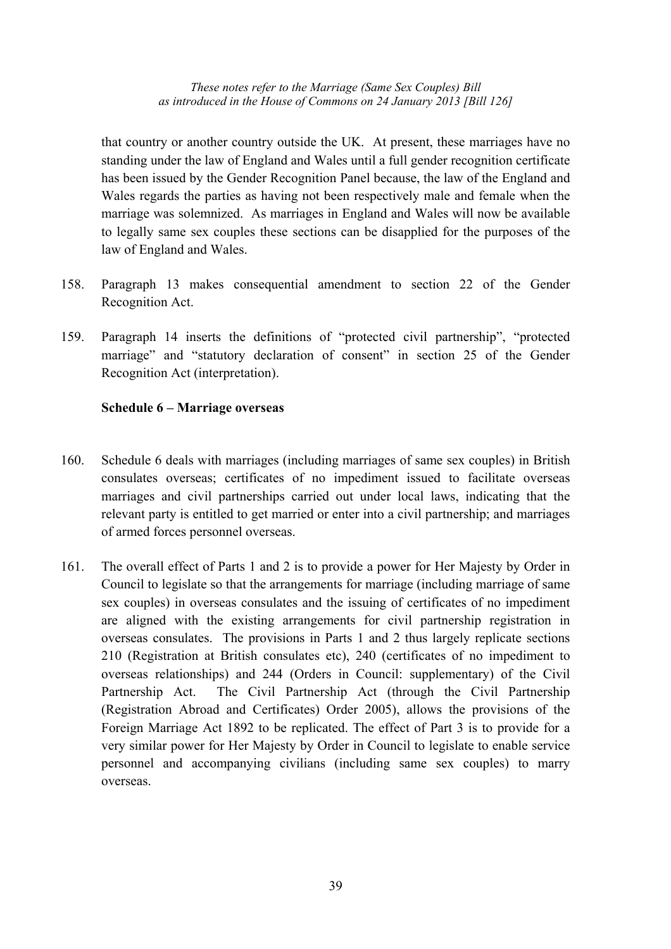that country or another country outside the UK. At present, these marriages have no standing under the law of England and Wales until a full gender recognition certificate has been issued by the Gender Recognition Panel because, the law of the England and Wales regards the parties as having not been respectively male and female when the marriage was solemnized. As marriages in England and Wales will now be available to legally same sex couples these sections can be disapplied for the purposes of the law of England and Wales.

- 158. Paragraph 13 makes consequential amendment to section 22 of the Gender Recognition Act.
- 159. Paragraph 14 inserts the definitions of "protected civil partnership", "protected marriage" and "statutory declaration of consent" in section 25 of the Gender Recognition Act (interpretation).

## **Schedule 6 – Marriage overseas**

- 160. Schedule 6 deals with marriages (including marriages of same sex couples) in British consulates overseas; certificates of no impediment issued to facilitate overseas marriages and civil partnerships carried out under local laws, indicating that the relevant party is entitled to get married or enter into a civil partnership; and marriages of armed forces personnel overseas.
- 161. The overall effect of Parts 1 and 2 is to provide a power for Her Majesty by Order in Council to legislate so that the arrangements for marriage (including marriage of same sex couples) in overseas consulates and the issuing of certificates of no impediment are aligned with the existing arrangements for civil partnership registration in overseas consulates. The provisions in Parts 1 and 2 thus largely replicate sections 210 (Registration at British consulates etc), 240 (certificates of no impediment to overseas relationships) and 244 (Orders in Council: supplementary) of the Civil Partnership Act. The Civil Partnership Act (through the Civil Partnership (Registration Abroad and Certificates) Order 2005), allows the provisions of the Foreign Marriage Act 1892 to be replicated. The effect of Part 3 is to provide for a very similar power for Her Majesty by Order in Council to legislate to enable service personnel and accompanying civilians (including same sex couples) to marry overseas.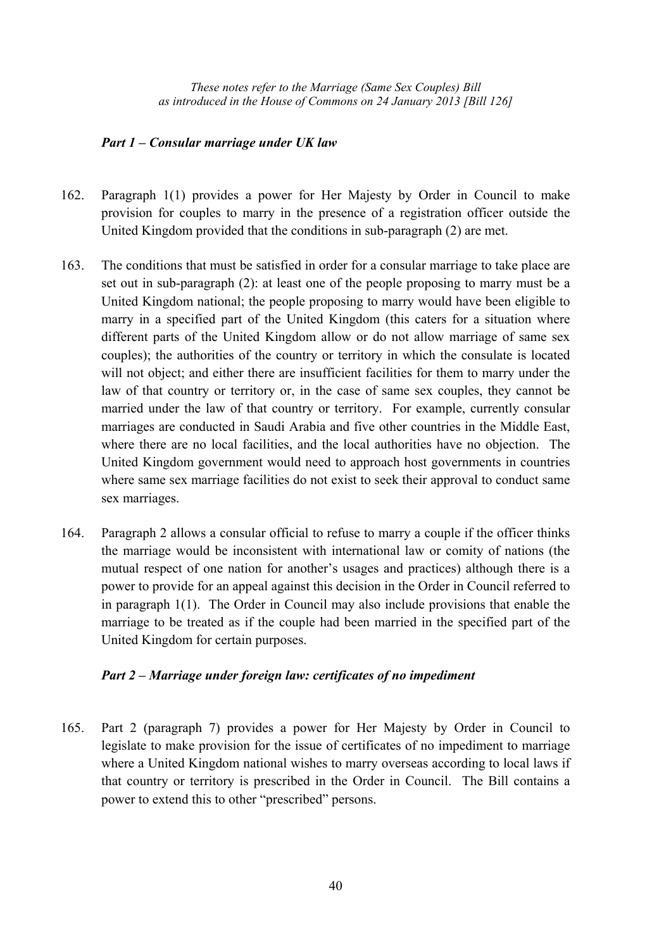## *Part 1 – Consular marriage under UK law*

- 162. Paragraph 1(1) provides a power for Her Majesty by Order in Council to make provision for couples to marry in the presence of a registration officer outside the United Kingdom provided that the conditions in sub-paragraph (2) are met.
- 163. The conditions that must be satisfied in order for a consular marriage to take place are set out in sub-paragraph (2): at least one of the people proposing to marry must be a United Kingdom national; the people proposing to marry would have been eligible to marry in a specified part of the United Kingdom (this caters for a situation where different parts of the United Kingdom allow or do not allow marriage of same sex couples); the authorities of the country or territory in which the consulate is located will not object; and either there are insufficient facilities for them to marry under the law of that country or territory or, in the case of same sex couples, they cannot be married under the law of that country or territory. For example, currently consular marriages are conducted in Saudi Arabia and five other countries in the Middle East, where there are no local facilities, and the local authorities have no objection. The United Kingdom government would need to approach host governments in countries where same sex marriage facilities do not exist to seek their approval to conduct same sex marriages.
- 164. Paragraph 2 allows a consular official to refuse to marry a couple if the officer thinks the marriage would be inconsistent with international law or comity of nations (the mutual respect of one nation for another's usages and practices) although there is a power to provide for an appeal against this decision in the Order in Council referred to in paragraph 1(1). The Order in Council may also include provisions that enable the marriage to be treated as if the couple had been married in the specified part of the United Kingdom for certain purposes.

## *Part 2 – Marriage under foreign law: certificates of no impediment*

165. Part 2 (paragraph 7) provides a power for Her Majesty by Order in Council to legislate to make provision for the issue of certificates of no impediment to marriage where a United Kingdom national wishes to marry overseas according to local laws if that country or territory is prescribed in the Order in Council. The Bill contains a power to extend this to other "prescribed" persons.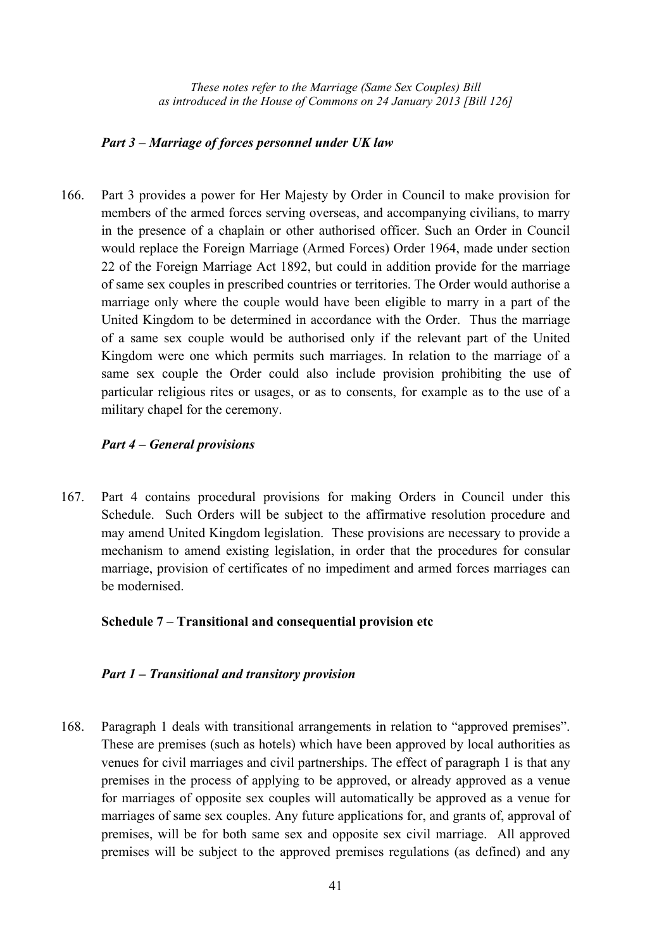#### *Part 3 – Marriage of forces personnel under UK law*

166. Part 3 provides a power for Her Majesty by Order in Council to make provision for members of the armed forces serving overseas, and accompanying civilians, to marry in the presence of a chaplain or other authorised officer. Such an Order in Council would replace the Foreign Marriage (Armed Forces) Order 1964, made under section 22 of the Foreign Marriage Act 1892, but could in addition provide for the marriage of same sex couples in prescribed countries or territories. The Order would authorise a marriage only where the couple would have been eligible to marry in a part of the United Kingdom to be determined in accordance with the Order. Thus the marriage of a same sex couple would be authorised only if the relevant part of the United Kingdom were one which permits such marriages. In relation to the marriage of a same sex couple the Order could also include provision prohibiting the use of particular religious rites or usages, or as to consents, for example as to the use of a military chapel for the ceremony.

## *Part 4 – General provisions*

167. Part 4 contains procedural provisions for making Orders in Council under this Schedule. Such Orders will be subject to the affirmative resolution procedure and may amend United Kingdom legislation. These provisions are necessary to provide a mechanism to amend existing legislation, in order that the procedures for consular marriage, provision of certificates of no impediment and armed forces marriages can be modernised.

## **Schedule 7 – Transitional and consequential provision etc**

#### *Part 1 – Transitional and transitory provision*

168. Paragraph 1 deals with transitional arrangements in relation to "approved premises". These are premises (such as hotels) which have been approved by local authorities as venues for civil marriages and civil partnerships. The effect of paragraph 1 is that any premises in the process of applying to be approved, or already approved as a venue for marriages of opposite sex couples will automatically be approved as a venue for marriages of same sex couples. Any future applications for, and grants of, approval of premises, will be for both same sex and opposite sex civil marriage. All approved premises will be subject to the approved premises regulations (as defined) and any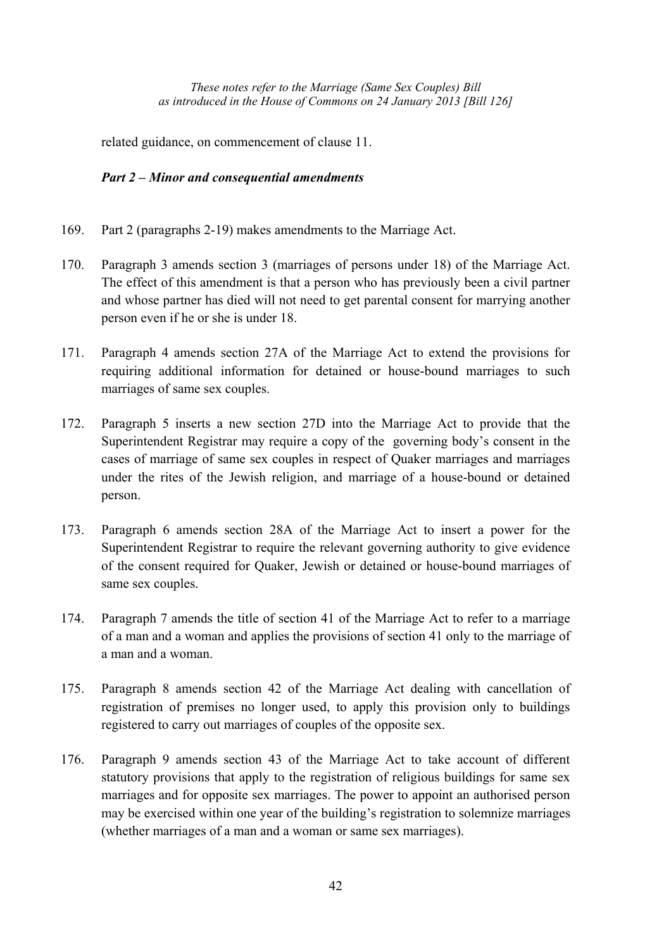related guidance, on commencement of clause 11.

## *Part 2 – Minor and consequential amendments*

- 169. Part 2 (paragraphs 2-19) makes amendments to the Marriage Act.
- 170. Paragraph 3 amends section 3 (marriages of persons under 18) of the Marriage Act. The effect of this amendment is that a person who has previously been a civil partner and whose partner has died will not need to get parental consent for marrying another person even if he or she is under 18.
- 171. Paragraph 4 amends section 27A of the Marriage Act to extend the provisions for requiring additional information for detained or house-bound marriages to such marriages of same sex couples.
- 172. Paragraph 5 inserts a new section 27D into the Marriage Act to provide that the Superintendent Registrar may require a copy of the governing body's consent in the cases of marriage of same sex couples in respect of Quaker marriages and marriages under the rites of the Jewish religion, and marriage of a house-bound or detained person.
- 173. Paragraph 6 amends section 28A of the Marriage Act to insert a power for the Superintendent Registrar to require the relevant governing authority to give evidence of the consent required for Quaker, Jewish or detained or house-bound marriages of same sex couples.
- 174. Paragraph 7 amends the title of section 41 of the Marriage Act to refer to a marriage of a man and a woman and applies the provisions of section 41 only to the marriage of a man and a woman.
- 175. Paragraph 8 amends section 42 of the Marriage Act dealing with cancellation of registration of premises no longer used, to apply this provision only to buildings registered to carry out marriages of couples of the opposite sex.
- 176. Paragraph 9 amends section 43 of the Marriage Act to take account of different statutory provisions that apply to the registration of religious buildings for same sex marriages and for opposite sex marriages. The power to appoint an authorised person may be exercised within one year of the building's registration to solemnize marriages (whether marriages of a man and a woman or same sex marriages).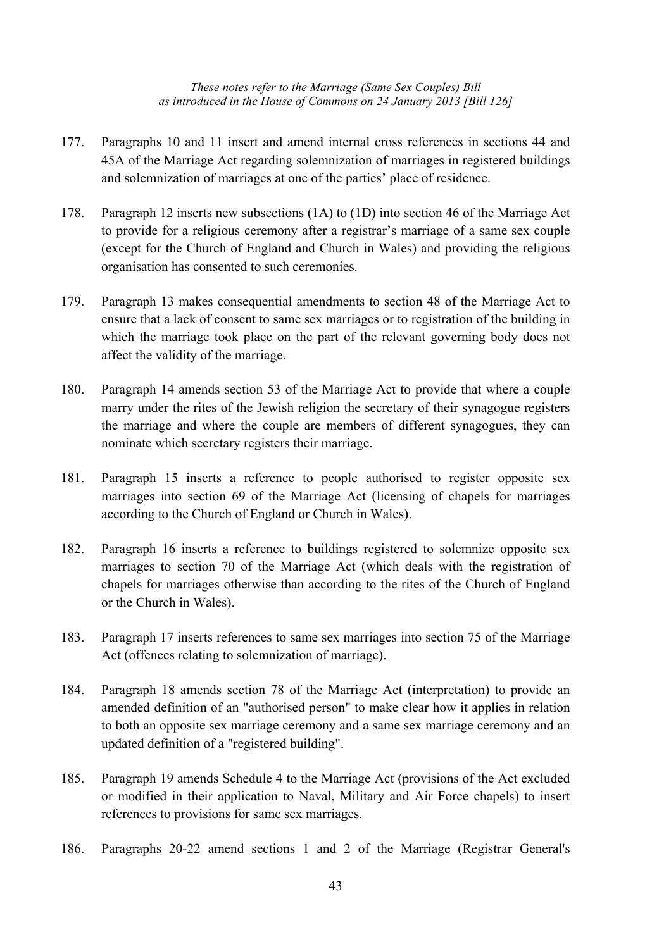- 177. Paragraphs 10 and 11 insert and amend internal cross references in sections 44 and 45A of the Marriage Act regarding solemnization of marriages in registered buildings and solemnization of marriages at one of the parties' place of residence.
- 178. Paragraph 12 inserts new subsections (1A) to (1D) into section 46 of the Marriage Act to provide for a religious ceremony after a registrar's marriage of a same sex couple (except for the Church of England and Church in Wales) and providing the religious organisation has consented to such ceremonies.
- 179. Paragraph 13 makes consequential amendments to section 48 of the Marriage Act to ensure that a lack of consent to same sex marriages or to registration of the building in which the marriage took place on the part of the relevant governing body does not affect the validity of the marriage.
- 180. Paragraph 14 amends section 53 of the Marriage Act to provide that where a couple marry under the rites of the Jewish religion the secretary of their synagogue registers the marriage and where the couple are members of different synagogues, they can nominate which secretary registers their marriage.
- 181. Paragraph 15 inserts a reference to people authorised to register opposite sex marriages into section 69 of the Marriage Act (licensing of chapels for marriages according to the Church of England or Church in Wales).
- 182. Paragraph 16 inserts a reference to buildings registered to solemnize opposite sex marriages to section 70 of the Marriage Act (which deals with the registration of chapels for marriages otherwise than according to the rites of the Church of England or the Church in Wales).
- 183. Paragraph 17 inserts references to same sex marriages into section 75 of the Marriage Act (offences relating to solemnization of marriage).
- 184. Paragraph 18 amends section 78 of the Marriage Act (interpretation) to provide an amended definition of an "authorised person" to make clear how it applies in relation to both an opposite sex marriage ceremony and a same sex marriage ceremony and an updated definition of a "registered building".
- 185. Paragraph 19 amends Schedule 4 to the Marriage Act (provisions of the Act excluded or modified in their application to Naval, Military and Air Force chapels) to insert references to provisions for same sex marriages.
- 186. Paragraphs 20-22 amend sections 1 and 2 of the Marriage (Registrar General's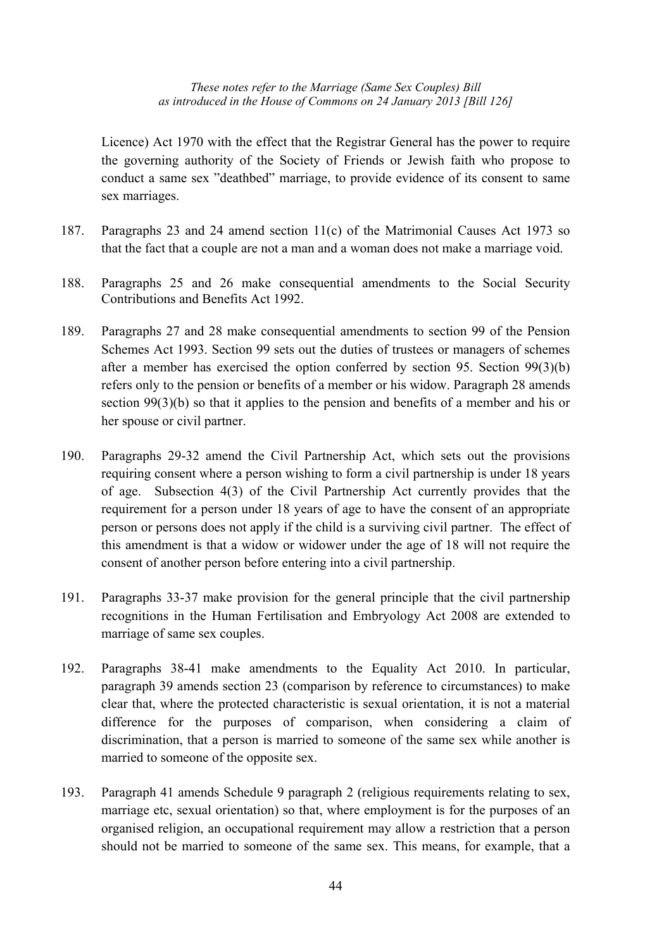Licence) Act 1970 with the effect that the Registrar General has the power to require the governing authority of the Society of Friends or Jewish faith who propose to conduct a same sex "deathbed" marriage, to provide evidence of its consent to same sex marriages.

- 187. Paragraphs 23 and 24 amend section 11(c) of the Matrimonial Causes Act 1973 so that the fact that a couple are not a man and a woman does not make a marriage void.
- 188. Paragraphs 25 and 26 make consequential amendments to the Social Security Contributions and Benefits Act 1992.
- 189. Paragraphs 27 and 28 make consequential amendments to section 99 of the Pension Schemes Act 1993. Section 99 sets out the duties of trustees or managers of schemes after a member has exercised the option conferred by section 95. Section 99(3)(b) refers only to the pension or benefits of a member or his widow. Paragraph 28 amends section 99(3)(b) so that it applies to the pension and benefits of a member and his or her spouse or civil partner.
- 190. Paragraphs 29-32 amend the Civil Partnership Act, which sets out the provisions requiring consent where a person wishing to form a civil partnership is under 18 years of age. Subsection 4(3) of the Civil Partnership Act currently provides that the requirement for a person under 18 years of age to have the consent of an appropriate person or persons does not apply if the child is a surviving civil partner. The effect of this amendment is that a widow or widower under the age of 18 will not require the consent of another person before entering into a civil partnership.
- 191. Paragraphs 33-37 make provision for the general principle that the civil partnership recognitions in the Human Fertilisation and Embryology Act 2008 are extended to marriage of same sex couples.
- 192. Paragraphs 38-41 make amendments to the Equality Act 2010. In particular, paragraph 39 amends section 23 (comparison by reference to circumstances) to make clear that, where the protected characteristic is sexual orientation, it is not a material difference for the purposes of comparison, when considering a claim of discrimination, that a person is married to someone of the same sex while another is married to someone of the opposite sex.
- 193. Paragraph 41 amends Schedule 9 paragraph 2 (religious requirements relating to sex, marriage etc, sexual orientation) so that, where employment is for the purposes of an organised religion, an occupational requirement may allow a restriction that a person should not be married to someone of the same sex. This means, for example, that a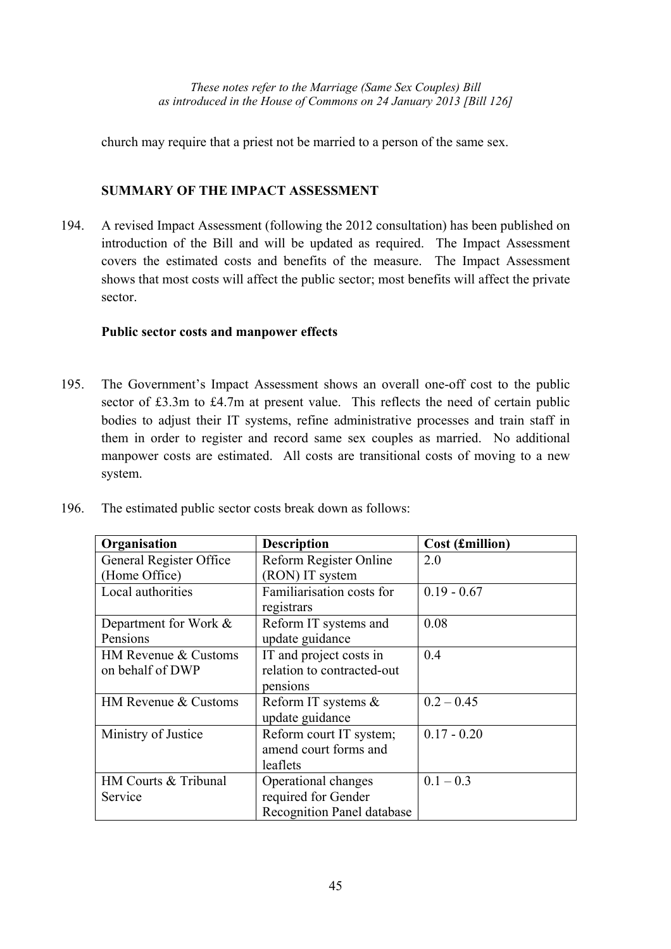church may require that a priest not be married to a person of the same sex.

## **SUMMARY OF THE IMPACT ASSESSMENT**

194. A revised Impact Assessment (following the 2012 consultation) has been published on introduction of the Bill and will be updated as required. The Impact Assessment covers the estimated costs and benefits of the measure. The Impact Assessment shows that most costs will affect the public sector; most benefits will affect the private sector.

## **Public sector costs and manpower effects**

195. The Government's Impact Assessment shows an overall one-off cost to the public sector of £3.3m to £4.7m at present value. This reflects the need of certain public bodies to adjust their IT systems, refine administrative processes and train staff in them in order to register and record same sex couples as married. No additional manpower costs are estimated. All costs are transitional costs of moving to a new system.

| Organisation            | <b>Description</b>                | Cost (£million) |
|-------------------------|-----------------------------------|-----------------|
| General Register Office | Reform Register Online            | 2.0             |
| (Home Office)           | (RON) IT system                   |                 |
| Local authorities       | Familiarisation costs for         | $0.19 - 0.67$   |
|                         | registrars                        |                 |
| Department for Work &   | Reform IT systems and             | 0.08            |
| Pensions                | update guidance                   |                 |
| HM Revenue & Customs    | IT and project costs in           | 0.4             |
| on behalf of DWP        | relation to contracted-out        |                 |
|                         | pensions                          |                 |
| HM Revenue & Customs    | Reform IT systems &               | $0.2 - 0.45$    |
|                         | update guidance                   |                 |
| Ministry of Justice     | Reform court IT system;           | $0.17 - 0.20$   |
|                         | amend court forms and             |                 |
|                         | leaflets                          |                 |
| HM Courts & Tribunal    | Operational changes               | $0.1 - 0.3$     |
| Service                 | required for Gender               |                 |
|                         | <b>Recognition Panel database</b> |                 |

196. The estimated public sector costs break down as follows: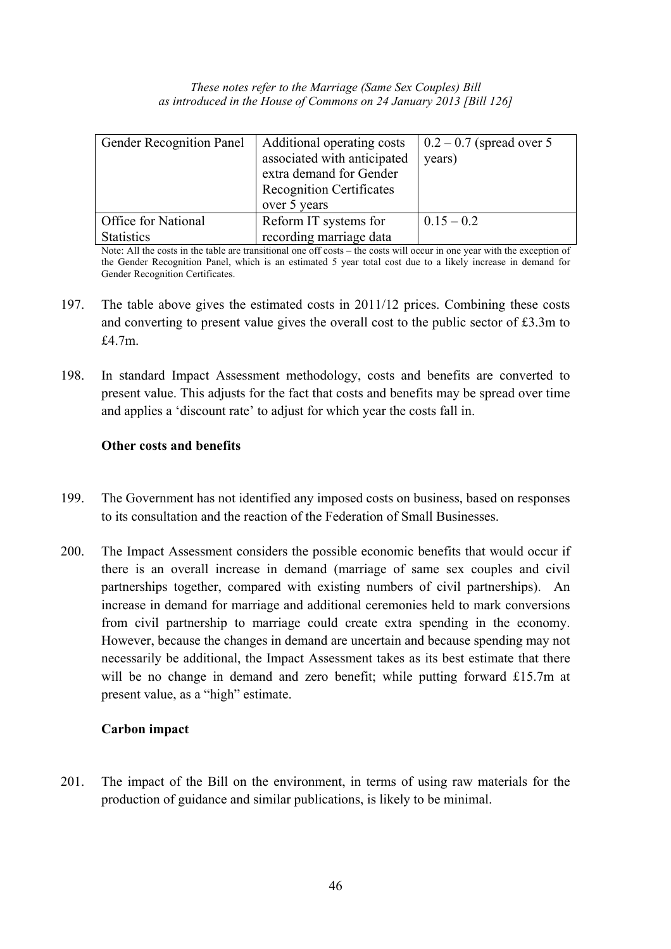| These notes refer to the Marriage (Same Sex Couples) Bill           |  |
|---------------------------------------------------------------------|--|
| as introduced in the House of Commons on 24 January 2013 [Bill 126] |  |

| <b>Gender Recognition Panel</b> | Additional operating costs<br>associated with anticipated<br>extra demand for Gender<br><b>Recognition Certificates</b><br>over 5 years | $0.2 - 0.7$ (spread over 5)<br>years) |
|---------------------------------|-----------------------------------------------------------------------------------------------------------------------------------------|---------------------------------------|
| <b>Office for National</b>      | Reform IT systems for                                                                                                                   | $0.15 - 0.2$                          |
| <b>Statistics</b>               | recording marriage data                                                                                                                 |                                       |

Note: All the costs in the table are transitional one off costs – the costs will occur in one year with the exception of the Gender Recognition Panel, which is an estimated 5 year total cost due to a likely increase in demand for Gender Recognition Certificates.

- 197. The table above gives the estimated costs in 2011/12 prices. Combining these costs and converting to present value gives the overall cost to the public sector of £3.3m to £4.7m.
- 198. In standard Impact Assessment methodology, costs and benefits are converted to present value. This adjusts for the fact that costs and benefits may be spread over time and applies a 'discount rate' to adjust for which year the costs fall in.

## **Other costs and benefits**

- 199. The Government has not identified any imposed costs on business, based on responses to its consultation and the reaction of the Federation of Small Businesses.
- 200. The Impact Assessment considers the possible economic benefits that would occur if there is an overall increase in demand (marriage of same sex couples and civil partnerships together, compared with existing numbers of civil partnerships). An increase in demand for marriage and additional ceremonies held to mark conversions from civil partnership to marriage could create extra spending in the economy. However, because the changes in demand are uncertain and because spending may not necessarily be additional, the Impact Assessment takes as its best estimate that there will be no change in demand and zero benefit; while putting forward  $£15.7m$  at present value, as a "high" estimate.

## **Carbon impact**

201. The impact of the Bill on the environment, in terms of using raw materials for the production of guidance and similar publications, is likely to be minimal.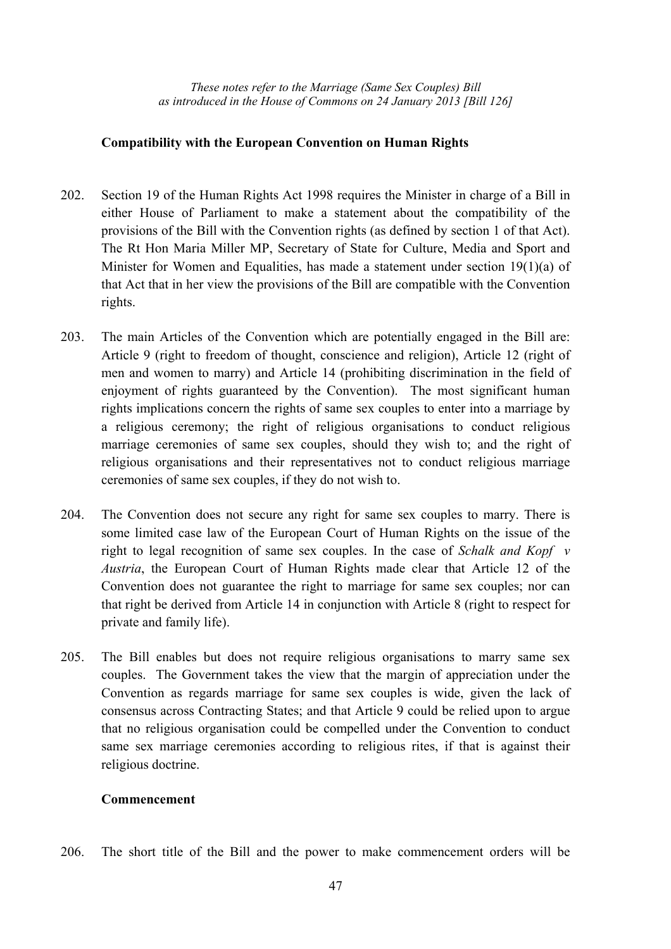## **Compatibility with the European Convention on Human Rights**

- 202. Section 19 of the Human Rights Act 1998 requires the Minister in charge of a Bill in either House of Parliament to make a statement about the compatibility of the provisions of the Bill with the Convention rights (as defined by section 1 of that Act). The Rt Hon Maria Miller MP, Secretary of State for Culture, Media and Sport and Minister for Women and Equalities, has made a statement under section 19(1)(a) of that Act that in her view the provisions of the Bill are compatible with the Convention rights.
- 203. The main Articles of the Convention which are potentially engaged in the Bill are: Article 9 (right to freedom of thought, conscience and religion), Article 12 (right of men and women to marry) and Article 14 (prohibiting discrimination in the field of enjoyment of rights guaranteed by the Convention). The most significant human rights implications concern the rights of same sex couples to enter into a marriage by a religious ceremony; the right of religious organisations to conduct religious marriage ceremonies of same sex couples, should they wish to; and the right of religious organisations and their representatives not to conduct religious marriage ceremonies of same sex couples, if they do not wish to.
- 204. The Convention does not secure any right for same sex couples to marry. There is some limited case law of the European Court of Human Rights on the issue of the right to legal recognition of same sex couples. In the case of *Schalk and Kopf v Austria*, the European Court of Human Rights made clear that Article 12 of the Convention does not guarantee the right to marriage for same sex couples; nor can that right be derived from Article 14 in conjunction with Article 8 (right to respect for private and family life).
- 205. The Bill enables but does not require religious organisations to marry same sex couples. The Government takes the view that the margin of appreciation under the Convention as regards marriage for same sex couples is wide, given the lack of consensus across Contracting States; and that Article 9 could be relied upon to argue that no religious organisation could be compelled under the Convention to conduct same sex marriage ceremonies according to religious rites, if that is against their religious doctrine.

#### **Commencement**

206. The short title of the Bill and the power to make commencement orders will be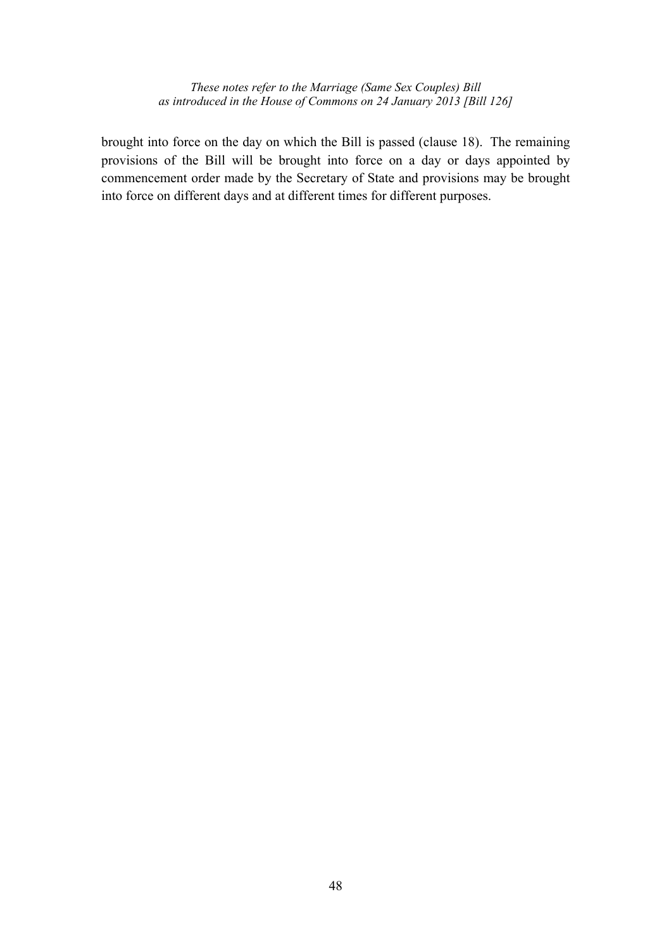brought into force on the day on which the Bill is passed (clause 18). The remaining provisions of the Bill will be brought into force on a day or days appointed by commencement order made by the Secretary of State and provisions may be brought into force on different days and at different times for different purposes.